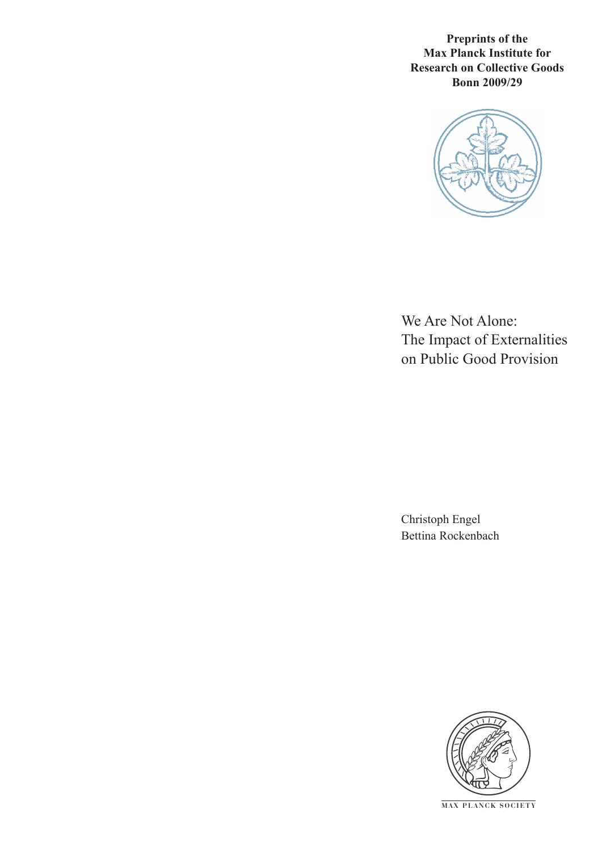**Preprints of the Max Planck Institute for Research on Collective Goods Bonn 2009/29**



We Are Not Alone: The Impact of Externalities on Public Good Provision

Christoph Engel Bettina Rockenbach



**M AX PLANCK SOCIETY**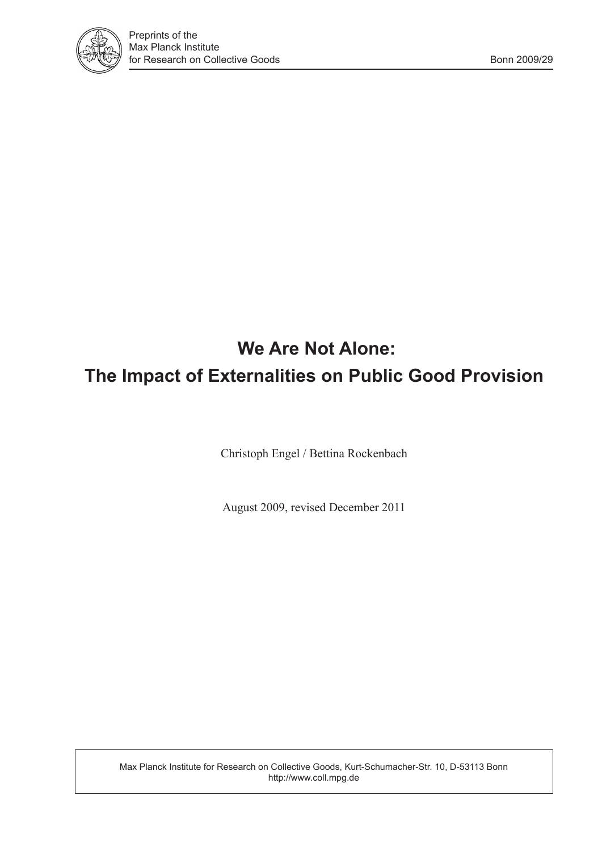

# **We Are Not Alone: The Impact of Externalities on Public Good Provision**

Christoph Engel / Bettina Rockenbach

August 2009, revised December 2011

Max Planck Institute for Research on Collective Goods, Kurt-Schumacher-Str. 10, D-53113 Bonn http://www.coll.mpg.de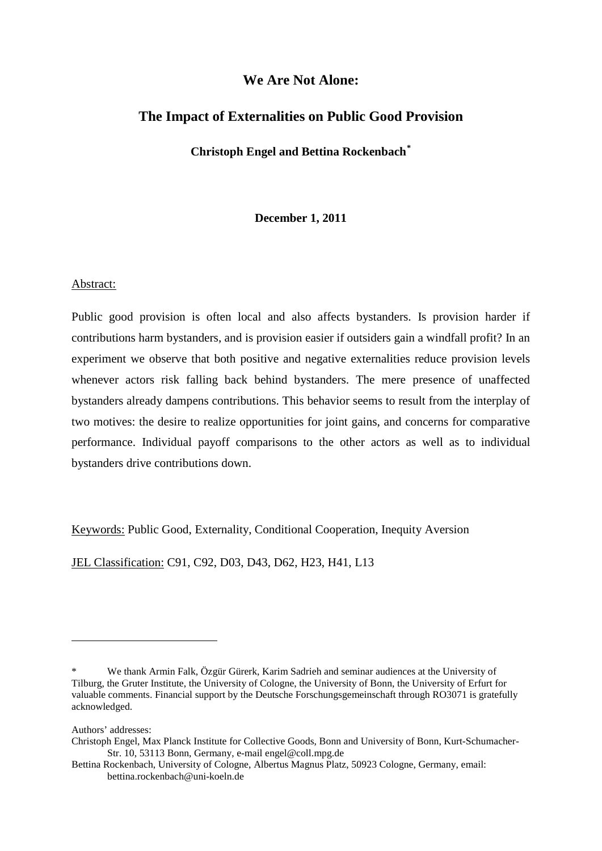# **We Are Not Alone:**

# **The Impact of Externalities on Public Good Provision**

# **Christoph Engel and Bettina Rockenbach[\\*](#page-2-0)**

## **December 1, 2011**

## Abstract:

Public good provision is often local and also affects bystanders. Is provision harder if contributions harm bystanders, and is provision easier if outsiders gain a windfall profit? In an experiment we observe that both positive and negative externalities reduce provision levels whenever actors risk falling back behind bystanders. The mere presence of unaffected bystanders already dampens contributions. This behavior seems to result from the interplay of two motives: the desire to realize opportunities for joint gains, and concerns for comparative performance. Individual payoff comparisons to the other actors as well as to individual bystanders drive contributions down.

Keywords: Public Good, Externality, Conditional Cooperation, Inequity Aversion

JEL Classification: C91, C92, D03, D43, D62, H23, H41, L13

<span id="page-2-0"></span>We thank Armin Falk, Özgür Gürerk, Karim Sadrieh and seminar audiences at the University of Tilburg, the Gruter Institute, the University of Cologne, the University of Bonn, the University of Erfurt for valuable comments. Financial support by the Deutsche Forschungsgemeinschaft through RO3071 is gratefully acknowledged.

Authors' addresses:

Christoph Engel, Max Planck Institute for Collective Goods, Bonn and University of Bonn, Kurt-Schumacher-Str. 10, 53113 Bonn, Germany, e-mail engel@coll.mpg.de

Bettina Rockenbach, University of Cologne, Albertus Magnus Platz, 50923 Cologne, Germany, email: bettina.rockenbach@uni-koeln.de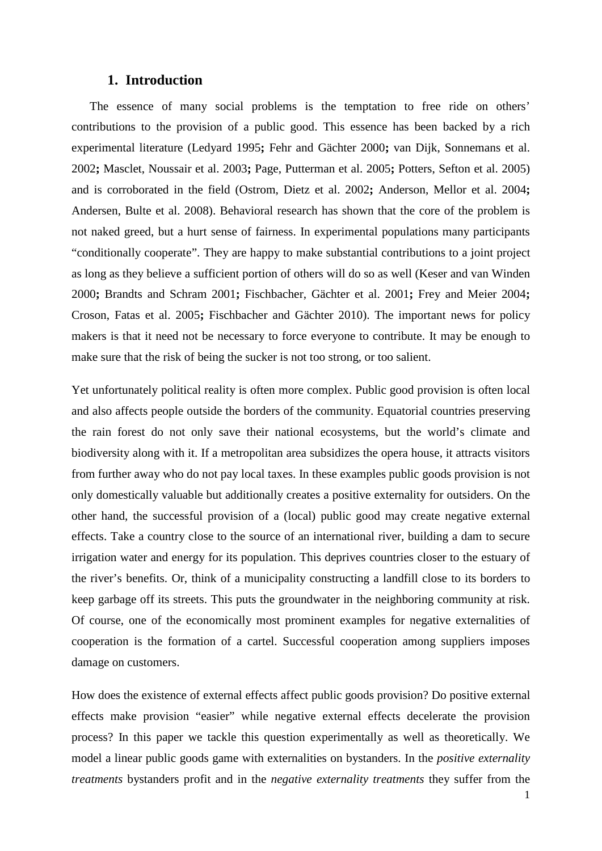## **1. Introduction**

The essence of many social problems is the temptation to free ride on others' contributions to the provision of a public good. This essence has been backed by a rich experimental literature [\(Ledyard 1995](#page-32-0)**;** [Fehr and Gächter 2000](#page-32-1)**;** [van Dijk, Sonnemans](#page-33-0) et al. [2002](#page-33-0)**;** [Masclet, Noussair et al. 2003](#page-32-2)**;** [Page, Putterman et al. 2005](#page-33-1)**;** [Potters, Sefton et al. 2005\)](#page-33-2) and is corroborated in the field [\(Ostrom, Dietz et al. 2002](#page-33-3)**;** [Anderson, Mellor et al. 2004](#page-31-0)**;**  [Andersen, Bulte et al. 2008\)](#page-31-1). Behavioral research has shown that the core of the problem is not naked greed, but a hurt sense of fairness. In experimental populations many participants "conditionally cooperate". They are happy to make substantial contributions to a joint project as long as they believe a sufficient portion of others will do so as well [\(Keser and van Winden](#page-32-3)  [2000](#page-32-3)**;** [Brandts and Schram 2001](#page-31-2)**;** [Fischbacher, Gächter et al. 2001](#page-32-4)**;** [Frey and Meier 2004](#page-32-5)**;**  [Croson, Fatas et al. 2005](#page-31-3)**;** [Fischbacher and Gächter 2010\)](#page-32-6). The important news for policy makers is that it need not be necessary to force everyone to contribute. It may be enough to make sure that the risk of being the sucker is not too strong, or too salient.

Yet unfortunately political reality is often more complex. Public good provision is often local and also affects people outside the borders of the community. Equatorial countries preserving the rain forest do not only save their national ecosystems, but the world's climate and biodiversity along with it. If a metropolitan area subsidizes the opera house, it attracts visitors from further away who do not pay local taxes. In these examples public goods provision is not only domestically valuable but additionally creates a positive externality for outsiders. On the other hand, the successful provision of a (local) public good may create negative external effects. Take a country close to the source of an international river, building a dam to secure irrigation water and energy for its population. This deprives countries closer to the estuary of the river's benefits. Or, think of a municipality constructing a landfill close to its borders to keep garbage off its streets. This puts the groundwater in the neighboring community at risk. Of course, one of the economically most prominent examples for negative externalities of cooperation is the formation of a cartel. Successful cooperation among suppliers imposes damage on customers.

How does the existence of external effects affect public goods provision? Do positive external effects make provision "easier" while negative external effects decelerate the provision process? In this paper we tackle this question experimentally as well as theoretically. We model a linear public goods game with externalities on bystanders. In the *positive externality treatments* bystanders profit and in the *negative externality treatments* they suffer from the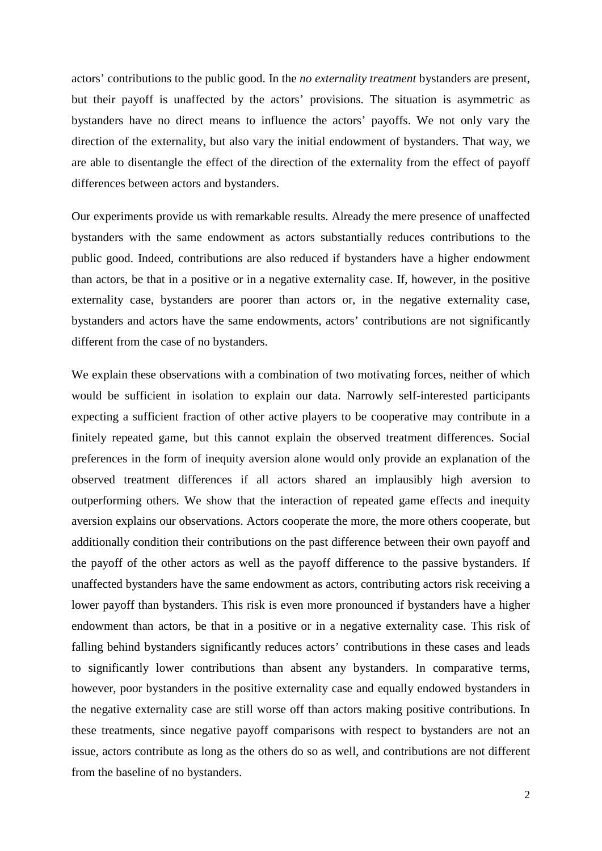actors' contributions to the public good. In the *no externality treatment* bystanders are present, but their payoff is unaffected by the actors' provisions. The situation is asymmetric as bystanders have no direct means to influence the actors' payoffs. We not only vary the direction of the externality, but also vary the initial endowment of bystanders. That way, we are able to disentangle the effect of the direction of the externality from the effect of payoff differences between actors and bystanders.

Our experiments provide us with remarkable results. Already the mere presence of unaffected bystanders with the same endowment as actors substantially reduces contributions to the public good. Indeed, contributions are also reduced if bystanders have a higher endowment than actors, be that in a positive or in a negative externality case. If, however, in the positive externality case, bystanders are poorer than actors or, in the negative externality case, bystanders and actors have the same endowments, actors' contributions are not significantly different from the case of no bystanders.

We explain these observations with a combination of two motivating forces, neither of which would be sufficient in isolation to explain our data. Narrowly self-interested participants expecting a sufficient fraction of other active players to be cooperative may contribute in a finitely repeated game, but this cannot explain the observed treatment differences. Social preferences in the form of inequity aversion alone would only provide an explanation of the observed treatment differences if all actors shared an implausibly high aversion to outperforming others. We show that the interaction of repeated game effects and inequity aversion explains our observations. Actors cooperate the more, the more others cooperate, but additionally condition their contributions on the past difference between their own payoff and the payoff of the other actors as well as the payoff difference to the passive bystanders. If unaffected bystanders have the same endowment as actors, contributing actors risk receiving a lower payoff than bystanders. This risk is even more pronounced if bystanders have a higher endowment than actors, be that in a positive or in a negative externality case. This risk of falling behind bystanders significantly reduces actors' contributions in these cases and leads to significantly lower contributions than absent any bystanders. In comparative terms, however, poor bystanders in the positive externality case and equally endowed bystanders in the negative externality case are still worse off than actors making positive contributions. In these treatments, since negative payoff comparisons with respect to bystanders are not an issue, actors contribute as long as the others do so as well, and contributions are not different from the baseline of no bystanders.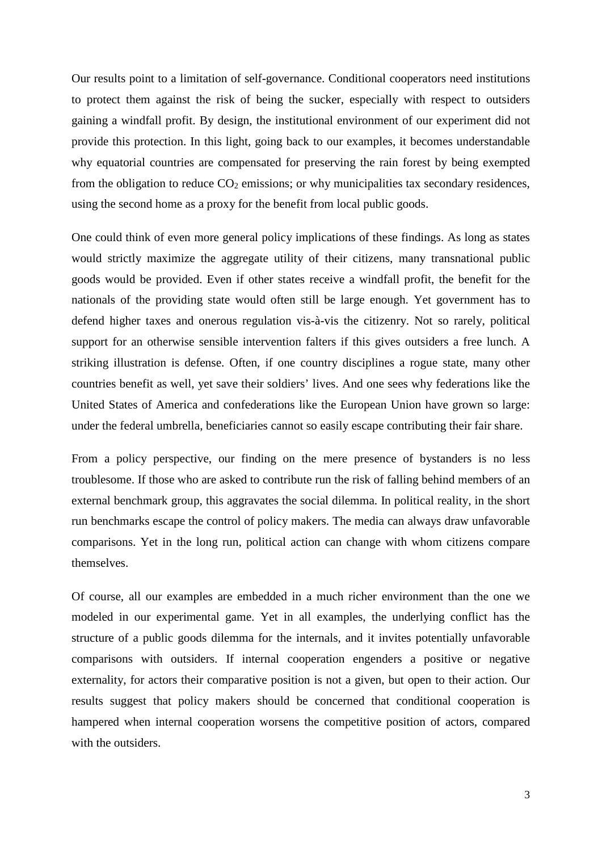Our results point to a limitation of self-governance. Conditional cooperators need institutions to protect them against the risk of being the sucker, especially with respect to outsiders gaining a windfall profit. By design, the institutional environment of our experiment did not provide this protection. In this light, going back to our examples, it becomes understandable why equatorial countries are compensated for preserving the rain forest by being exempted from the obligation to reduce  $CO<sub>2</sub>$  emissions; or why municipalities tax secondary residences, using the second home as a proxy for the benefit from local public goods.

One could think of even more general policy implications of these findings. As long as states would strictly maximize the aggregate utility of their citizens, many transnational public goods would be provided. Even if other states receive a windfall profit, the benefit for the nationals of the providing state would often still be large enough. Yet government has to defend higher taxes and onerous regulation vis-à-vis the citizenry. Not so rarely, political support for an otherwise sensible intervention falters if this gives outsiders a free lunch. A striking illustration is defense. Often, if one country disciplines a rogue state, many other countries benefit as well, yet save their soldiers' lives. And one sees why federations like the United States of America and confederations like the European Union have grown so large: under the federal umbrella, beneficiaries cannot so easily escape contributing their fair share.

From a policy perspective, our finding on the mere presence of bystanders is no less troublesome. If those who are asked to contribute run the risk of falling behind members of an external benchmark group, this aggravates the social dilemma. In political reality, in the short run benchmarks escape the control of policy makers. The media can always draw unfavorable comparisons. Yet in the long run, political action can change with whom citizens compare themselves.

Of course, all our examples are embedded in a much richer environment than the one we modeled in our experimental game. Yet in all examples, the underlying conflict has the structure of a public goods dilemma for the internals, and it invites potentially unfavorable comparisons with outsiders. If internal cooperation engenders a positive or negative externality, for actors their comparative position is not a given, but open to their action. Our results suggest that policy makers should be concerned that conditional cooperation is hampered when internal cooperation worsens the competitive position of actors, compared with the outsiders.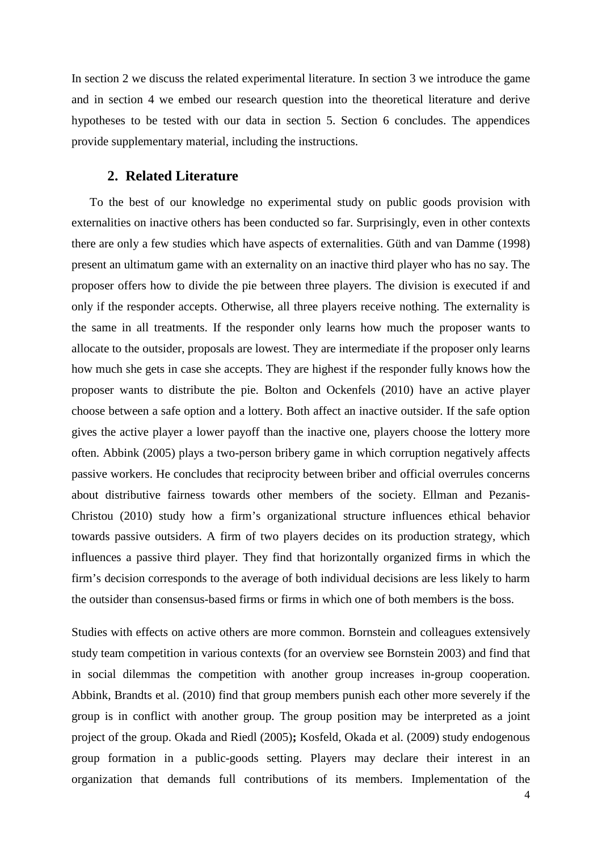In section 2 we discuss the related experimental literature. In section 3 we introduce the game and in section 4 we embed our research question into the theoretical literature and derive hypotheses to be tested with our data in section 5. Section 6 concludes. The appendices provide supplementary material, including the instructions.

# **2. Related Literature**

To the best of our knowledge no experimental study on public goods provision with externalities on inactive others has been conducted so far. Surprisingly, even in other contexts there are only a few studies which have aspects of externalities. [Güth and van Damme \(1998\)](#page-32-7) present an ultimatum game with an externality on an inactive third player who has no say. The proposer offers how to divide the pie between three players. The division is executed if and only if the responder accepts. Otherwise, all three players receive nothing. The externality is the same in all treatments. If the responder only learns how much the proposer wants to allocate to the outsider, proposals are lowest. They are intermediate if the proposer only learns how much she gets in case she accepts. They are highest if the responder fully knows how the proposer wants to distribute the pie. [Bolton and Ockenfels \(2010\)](#page-31-4) have an active player choose between a safe option and a lottery. Both affect an inactive outsider. If the safe option gives the active player a lower payoff than the inactive one, players choose the lottery more often. [Abbink \(2005\)](#page-31-5) plays a two-person bribery game in which corruption negatively affects passive workers. He concludes that reciprocity between briber and official overrules concerns about distributive fairness towards other members of the society. [Ellman and Pezanis-](#page-31-6)[Christou \(2010\)](#page-31-6) study how a firm's organizational structure influences ethical behavior towards passive outsiders. A firm of two players decides on its production strategy, which influences a passive third player. They find that horizontally organized firms in which the firm's decision corresponds to the average of both individual decisions are less likely to harm the outsider than consensus-based firms or firms in which one of both members is the boss.

Studies with effects on active others are more common. Bornstein and colleagues extensively study team competition in various contexts [\(for an overview see Bornstein 2003\)](#page-31-7) and find that in social dilemmas the competition with another group increases in-group cooperation. [Abbink, Brandts et al. \(2010\)](#page-31-8) find that group members punish each other more severely if the group is in conflict with another group. The group position may be interpreted as a joint project of the group. [Okada and Riedl \(2005\)](#page-33-4)**;** [Kosfeld, Okada et al. \(2009\)](#page-32-8) study endogenous group formation in a public-goods setting. Players may declare their interest in an organization that demands full contributions of its members. Implementation of the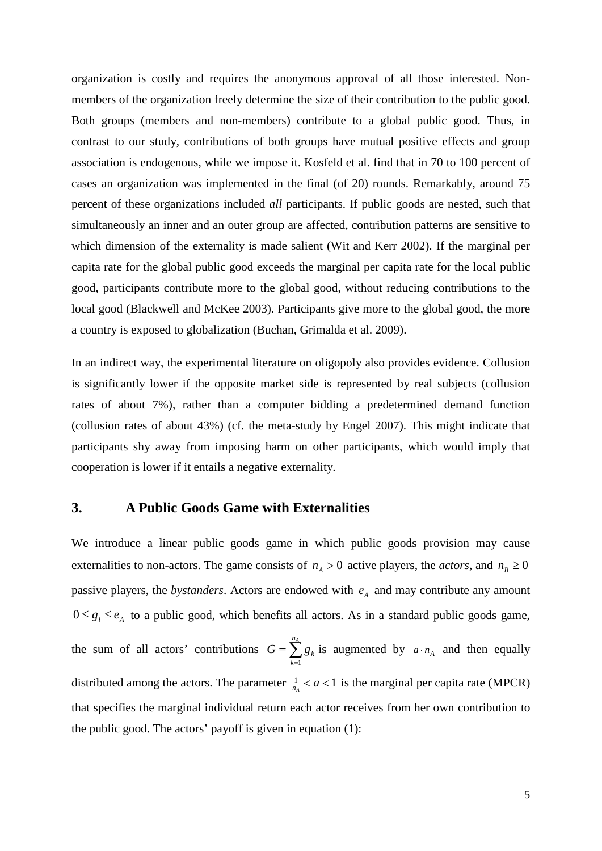organization is costly and requires the anonymous approval of all those interested. Nonmembers of the organization freely determine the size of their contribution to the public good. Both groups (members and non-members) contribute to a global public good. Thus, in contrast to our study, contributions of both groups have mutual positive effects and group association is endogenous, while we impose it. Kosfeld et al. find that in 70 to 100 percent of cases an organization was implemented in the final (of 20) rounds. Remarkably, around 75 percent of these organizations included *all* participants. If public goods are nested, such that simultaneously an inner and an outer group are affected, contribution patterns are sensitive to which dimension of the externality is made salient [\(Wit and Kerr 2002\)](#page-33-5). If the marginal per capita rate for the global public good exceeds the marginal per capita rate for the local public good, participants contribute more to the global good, without reducing contributions to the local good [\(Blackwell and McKee 2003\)](#page-31-9). Participants give more to the global good, the more a country is exposed to globalization [\(Buchan, Grimalda et al. 2009\)](#page-31-10).

In an indirect way, the experimental literature on oligopoly also provides evidence. Collusion is significantly lower if the opposite market side is represented by real subjects (collusion rates of about 7%), rather than a computer bidding a predetermined demand function (collusion rates of about 43%) [\(cf. the meta-study by Engel 2007\)](#page-31-11). This might indicate that participants shy away from imposing harm on other participants, which would imply that cooperation is lower if it entails a negative externality.

# **3. A Public Goods Game with Externalities**

We introduce a linear public goods game in which public goods provision may cause externalities to non-actors. The game consists of  $n_A > 0$  active players, the *actors*, and  $n_B \ge 0$ passive players, the *bystanders*. Actors are endowed with  $e_A$  and may contribute any amount  $0 \leq g_i \leq e_A$  to a public good, which benefits all actors. As in a standard public goods game, the sum of all actors' contributions  $G = \sum_{k=1}^{n}$ *nA k*  $G = \sum g_k$ 1 is augmented by  $a \cdot n_A$  and then equally distributed among the actors. The parameter  $\frac{1}{n_A} < a < 1$  is the marginal per capita rate (MPCR) that specifies the marginal individual return each actor receives from her own contribution to the public good. The actors' payoff is given in equation (1):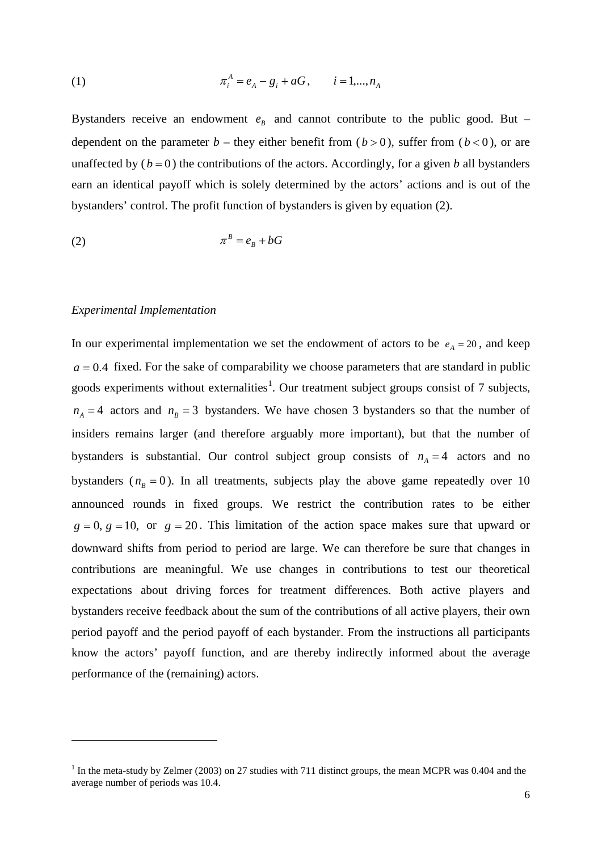(1) 
$$
\pi_i^A = e_A - g_i + aG, \qquad i = 1,...,n_A
$$

Bystanders receive an endowment  $e_B$  and cannot contribute to the public good. But – dependent on the parameter  $b$  – they either benefit from  $(b > 0)$ , suffer from  $(b < 0)$ , or are unaffected by  $(b = 0)$  the contributions of the actors. Accordingly, for a given *b* all bystanders earn an identical payoff which is solely determined by the actors' actions and is out of the bystanders' control. The profit function of bystanders is given by equation (2).

$$
\pi^B = e_B + bG
$$

#### *Experimental Implementation*

 $\overline{a}$ 

In our experimental implementation we set the endowment of actors to be  $e_A = 20$ , and keep  $a = 0.4$  fixed. For the sake of comparability we choose parameters that are standard in public goods experiments without externalities<sup>[1](#page-8-0)</sup>. Our treatment subject groups consist of 7 subjects,  $n_A = 4$  actors and  $n_B = 3$  bystanders. We have chosen 3 bystanders so that the number of insiders remains larger (and therefore arguably more important), but that the number of bystanders is substantial. Our control subject group consists of  $n_A = 4$  actors and no bystanders ( $n<sub>B</sub> = 0$ ). In all treatments, subjects play the above game repeatedly over 10 announced rounds in fixed groups. We restrict the contribution rates to be either  $g = 0$ ,  $g = 10$ , or  $g = 20$ . This limitation of the action space makes sure that upward or downward shifts from period to period are large. We can therefore be sure that changes in contributions are meaningful. We use changes in contributions to test our theoretical expectations about driving forces for treatment differences. Both active players and bystanders receive feedback about the sum of the contributions of all active players, their own period payoff and the period payoff of each bystander. From the instructions all participants know the actors' payoff function, and are thereby indirectly informed about the average performance of the (remaining) actors.

<span id="page-8-0"></span> $1$  In the meta-study by Zelmer (2003) on 27 studies with 711 distinct groups, the mean MCPR was 0.404 and the average number of periods was 10.4.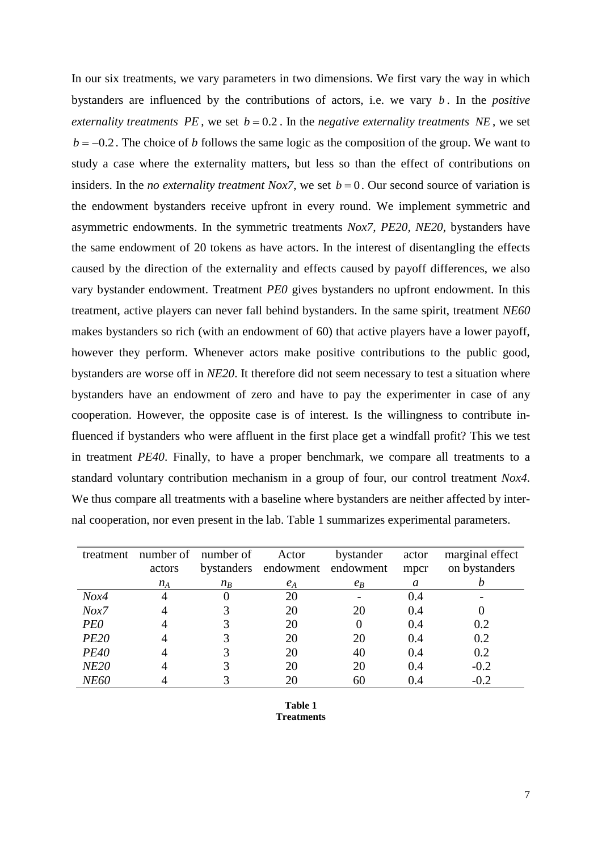In our six treatments, we vary parameters in two dimensions. We first vary the way in which bystanders are influenced by the contributions of actors, i.e. we vary *b* . In the *positive externality treatments PE*, we set  $b = 0.2$ . In the *negative externality treatments NE*, we set *b* = −0.2. The choice of *b* follows the same logic as the composition of the group. We want to study a case where the externality matters, but less so than the effect of contributions on insiders. In the *no externality treatment Nox7*, we set  $b = 0$ . Our second source of variation is the endowment bystanders receive upfront in every round. We implement symmetric and asymmetric endowments. In the symmetric treatments *Nox7, PE20, NE20*, bystanders have the same endowment of 20 tokens as have actors. In the interest of disentangling the effects caused by the direction of the externality and effects caused by payoff differences, we also vary bystander endowment. Treatment *PE0* gives bystanders no upfront endowment. In this treatment, active players can never fall behind bystanders. In the same spirit, treatment *NE60* makes bystanders so rich (with an endowment of 60) that active players have a lower payoff, however they perform. Whenever actors make positive contributions to the public good, bystanders are worse off in *NE20*. It therefore did not seem necessary to test a situation where bystanders have an endowment of zero and have to pay the experimenter in case of any cooperation. However, the opposite case is of interest. Is the willingness to contribute influenced if bystanders who were affluent in the first place get a windfall profit? This we test in treatment *PE40*. Finally, to have a proper benchmark, we compare all treatments to a standard voluntary contribution mechanism in a group of four, our control treatment *Nox4*. We thus compare all treatments with a baseline where bystanders are neither affected by internal cooperation, nor even present in the lab. Table 1 summarizes experimental parameters.

| treatment       | actors | number of number of | Actor<br>bystanders endowment endowment | bystander | actor<br>mpcr | marginal effect<br>on bystanders |
|-----------------|--------|---------------------|-----------------------------------------|-----------|---------------|----------------------------------|
|                 | $n_A$  | $n_B$               | $e_A$                                   | $e_B$     | a             |                                  |
| Nox4            | 4      |                     | 20                                      |           | 0.4           |                                  |
| Nox7            |        |                     | 20                                      | 20        | 0.4           |                                  |
| PE <sub>0</sub> |        |                     | 20                                      |           | 0.4           | 0.2                              |
| <b>PE20</b>     |        |                     | 20                                      | 20        | 0.4           | 0.2                              |
| <b>PE40</b>     |        |                     | 20                                      | 40        | 0.4           | 0.2                              |
| <b>NE20</b>     |        |                     | 20                                      | 20        | 0.4           | $-0.2$                           |
| <i>NE60</i>     |        |                     | 20                                      | 60        | 0.4           | -0.2                             |

**Table 1 Treatments**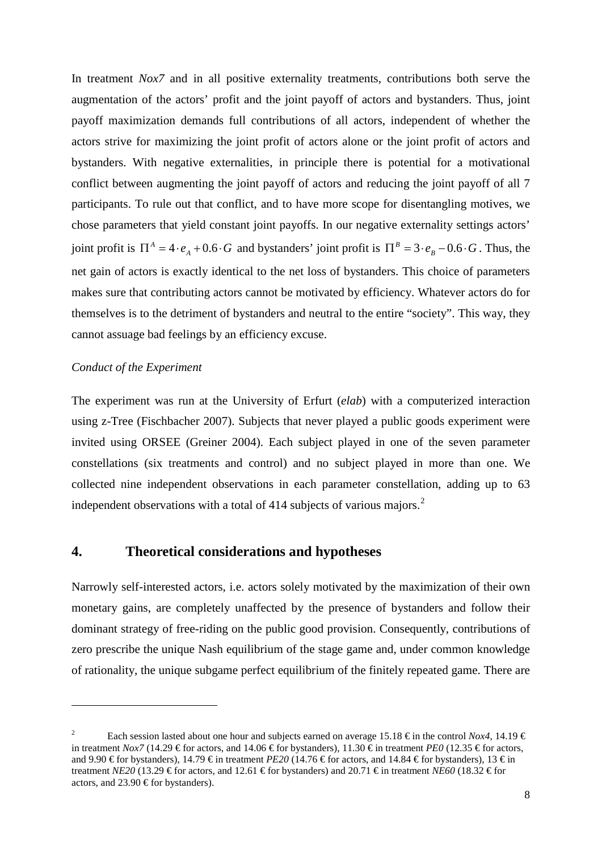In treatment *Nox7* and in all positive externality treatments, contributions both serve the augmentation of the actors' profit and the joint payoff of actors and bystanders. Thus, joint payoff maximization demands full contributions of all actors, independent of whether the actors strive for maximizing the joint profit of actors alone or the joint profit of actors and bystanders. With negative externalities, in principle there is potential for a motivational conflict between augmenting the joint payoff of actors and reducing the joint payoff of all 7 participants. To rule out that conflict, and to have more scope for disentangling motives, we chose parameters that yield constant joint payoffs. In our negative externality settings actors' joint profit is  $\Pi^A = 4 \cdot e_A + 0.6 \cdot G$  and bystanders' joint profit is  $\Pi^B = 3 \cdot e_B - 0.6 \cdot G$ . Thus, the net gain of actors is exactly identical to the net loss of bystanders. This choice of parameters makes sure that contributing actors cannot be motivated by efficiency. Whatever actors do for themselves is to the detriment of bystanders and neutral to the entire "society". This way, they cannot assuage bad feelings by an efficiency excuse.

#### *Conduct of the Experiment*

 $\overline{a}$ 

The experiment was run at the University of Erfurt (*elab*) with a computerized interaction using z-Tree [\(Fischbacher 2007\)](#page-32-9). Subjects that never played a public goods experiment were invited using ORSEE [\(Greiner 2004\)](#page-32-10). Each subject played in one of the seven parameter constellations (six treatments and control) and no subject played in more than one. We collected nine independent observations in each parameter constellation, adding up to 63 independent observations with a total of 414 subjects of various majors.<sup>[2](#page-10-0)</sup>

# **4. Theoretical considerations and hypotheses**

Narrowly self-interested actors, i.e. actors solely motivated by the maximization of their own monetary gains, are completely unaffected by the presence of bystanders and follow their dominant strategy of free-riding on the public good provision. Consequently, contributions of zero prescribe the unique Nash equilibrium of the stage game and, under common knowledge of rationality, the unique subgame perfect equilibrium of the finitely repeated game. There are

<span id="page-10-0"></span><sup>&</sup>lt;sup>2</sup> Each session lasted about one hour and subjects earned on average 15.18  $\epsilon$  in the control *Nox4*, 14.19  $\epsilon$ in treatment *Nox7* (14.29 € for actors, and 14.06 € for bystanders), 11.30 € in treatment *PE0* (12.35 € for actors, and 9.90 € for bystanders), 14.79 € in treatment *PE20* (14.76 € for actors, and 14.84 € for bystanders), 13 € in treatment *NE20* (13.29 € for actors, and 12.61 € for bystanders) and 20.71 € in treatment *NE60* (18.32 € for actors, and  $23.90 \text{ } \in$  for bystanders).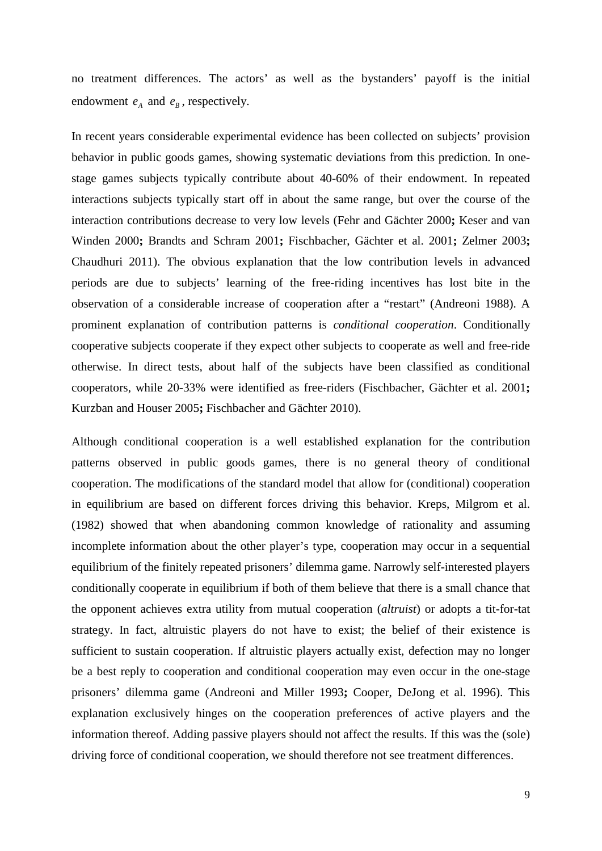no treatment differences. The actors' as well as the bystanders' payoff is the initial endowment  $e_A$  and  $e_B$ , respectively.

In recent years considerable experimental evidence has been collected on subjects' provision behavior in public goods games, showing systematic deviations from this prediction. In onestage games subjects typically contribute about 40-60% of their endowment. In repeated interactions subjects typically start off in about the same range, but over the course of the interaction contributions decrease to very low levels [\(Fehr and Gächter 2000](#page-32-11)**;** [Keser and van](#page-32-3)  [Winden 2000](#page-32-3)**;** [Brandts and Schram 2001](#page-31-2)**;** [Fischbacher, Gächter et al. 2001](#page-32-4)**;** [Zelmer 2003](#page-33-6)**;**  [Chaudhuri 2011\)](#page-31-12). The obvious explanation that the low contribution levels in advanced periods are due to subjects' learning of the free-riding incentives has lost bite in the observation of a considerable increase of cooperation after a "restart" [\(Andreoni 1988\)](#page-31-13). A prominent explanation of contribution patterns is *conditional cooperation*. Conditionally cooperative subjects cooperate if they expect other subjects to cooperate as well and free-ride otherwise. In direct tests, about half of the subjects have been classified as conditional cooperators, while 20-33% were identified as free-riders [\(Fischbacher, Gächter et al. 2001](#page-32-4)**;**  [Kurzban and Houser 2005](#page-32-12)**;** [Fischbacher and Gächter 2010\)](#page-32-6).

Although conditional cooperation is a well established explanation for the contribution patterns observed in public goods games, there is no general theory of conditional cooperation. The modifications of the standard model that allow for (conditional) cooperation in equilibrium are based on different forces driving this behavior. [Kreps, Milgrom et al.](#page-32-13)  [\(1982\)](#page-32-13) showed that when abandoning common knowledge of rationality and assuming incomplete information about the other player's type, cooperation may occur in a sequential equilibrium of the finitely repeated prisoners' dilemma game. Narrowly self-interested players conditionally cooperate in equilibrium if both of them believe that there is a small chance that the opponent achieves extra utility from mutual cooperation (*altruist*) or adopts a tit-for-tat strategy. In fact, altruistic players do not have to exist; the belief of their existence is sufficient to sustain cooperation. If altruistic players actually exist, defection may no longer be a best reply to cooperation and conditional cooperation may even occur in the one-stage prisoners' dilemma game [\(Andreoni and Miller 1993](#page-31-14)**;** [Cooper, DeJong et al. 1996\)](#page-31-15). This explanation exclusively hinges on the cooperation preferences of active players and the information thereof. Adding passive players should not affect the results. If this was the (sole) driving force of conditional cooperation, we should therefore not see treatment differences.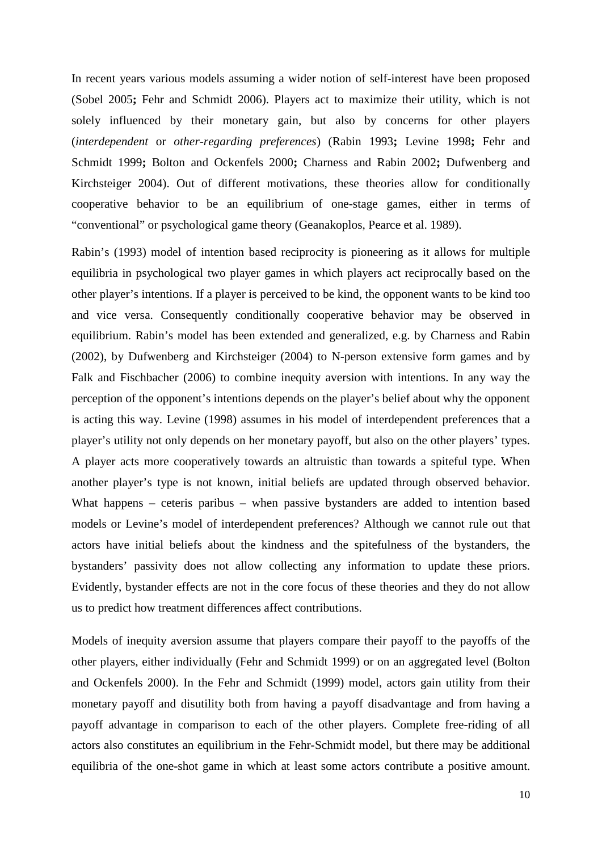In recent years various models assuming a wider notion of self-interest have been proposed [\(Sobel 2005](#page-33-7)**;** [Fehr and Schmidt 2006\)](#page-32-14). Players act to maximize their utility, which is not solely influenced by their monetary gain, but also by concerns for other players (*interdependent* or *other-regarding preferences*) [\(Rabin 1993](#page-33-8)**;** [Levine 1998](#page-32-15)**;** [Fehr and](#page-32-16)  [Schmidt 1999](#page-32-16)**;** [Bolton and Ockenfels 2000](#page-31-16)**;** [Charness and Rabin 2002](#page-31-17)**;** [Dufwenberg and](#page-31-18)  [Kirchsteiger 2004\)](#page-31-18). Out of different motivations, these theories allow for conditionally cooperative behavior to be an equilibrium of one-stage games, either in terms of "conventional" or psychological game theory [\(Geanakoplos, Pearce et al. 1989\)](#page-32-17).

[Rabin's](#page-33-8) (1993) model of intention based reciprocity is pioneering as it allows for multiple equilibria in psychological two player games in which players act reciprocally based on the other player's intentions. If a player is perceived to be kind, the opponent wants to be kind too and vice versa. Consequently conditionally cooperative behavior may be observed in equilibrium. Rabin's model has been extended and generalized, e.g. by [Charness and Rabin](#page-31-17)  [\(2002\)](#page-31-17), by [Dufwenberg and Kirchsteiger \(2004\)](#page-31-18) to N-person extensive form games and by [Falk and Fischbacher \(2006\)](#page-32-18) to combine inequity aversion with intentions. In any way the perception of the opponent's intentions depends on the player's belief about why the opponent is acting this way. [Levine \(1998\)](#page-32-15) assumes in his model of interdependent preferences that a player's utility not only depends on her monetary payoff, but also on the other players' types. A player acts more cooperatively towards an altruistic than towards a spiteful type. When another player's type is not known, initial beliefs are updated through observed behavior. What happens – ceteris paribus – when passive bystanders are added to intention based models or Levine's model of interdependent preferences? Although we cannot rule out that actors have initial beliefs about the kindness and the spitefulness of the bystanders, the bystanders' passivity does not allow collecting any information to update these priors. Evidently, bystander effects are not in the core focus of these theories and they do not allow us to predict how treatment differences affect contributions.

Models of inequity aversion assume that players compare their payoff to the payoffs of the other players, either individually [\(Fehr and Schmidt 1999\)](#page-32-16) or on an aggregated level [\(Bolton](#page-31-16)  [and Ockenfels 2000\)](#page-31-16). In the [Fehr and Schmidt \(1999\)](#page-32-16) model, actors gain utility from their monetary payoff and disutility both from having a payoff disadvantage and from having a payoff advantage in comparison to each of the other players. Complete free-riding of all actors also constitutes an equilibrium in the Fehr-Schmidt model, but there may be additional equilibria of the one-shot game in which at least some actors contribute a positive amount.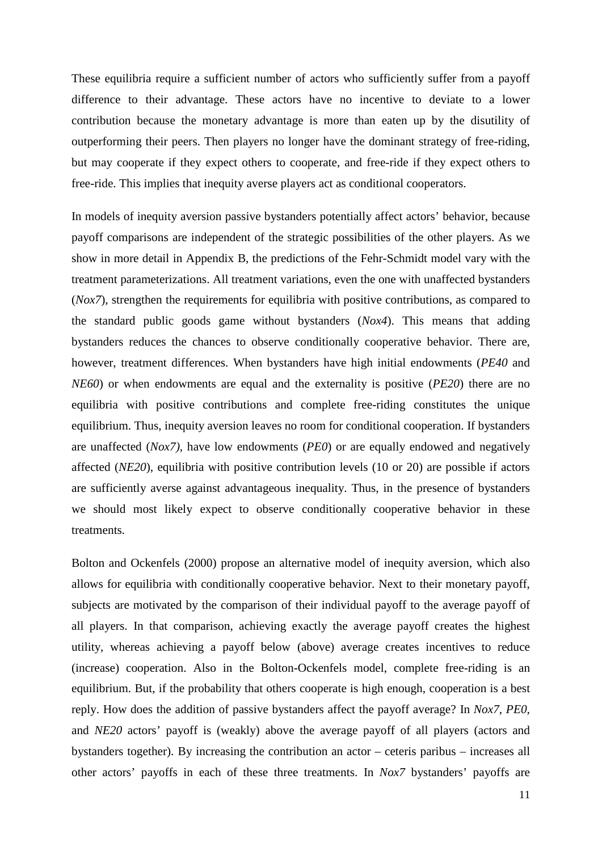These equilibria require a sufficient number of actors who sufficiently suffer from a payoff difference to their advantage. These actors have no incentive to deviate to a lower contribution because the monetary advantage is more than eaten up by the disutility of outperforming their peers. Then players no longer have the dominant strategy of free-riding, but may cooperate if they expect others to cooperate, and free-ride if they expect others to free-ride. This implies that inequity averse players act as conditional cooperators.

In models of inequity aversion passive bystanders potentially affect actors' behavior, because payoff comparisons are independent of the strategic possibilities of the other players. As we show in more detail in Appendix B, the predictions of the Fehr-Schmidt model vary with the treatment parameterizations. All treatment variations, even the one with unaffected bystanders (*Nox7*), strengthen the requirements for equilibria with positive contributions, as compared to the standard public goods game without bystanders (*Nox4*). This means that adding bystanders reduces the chances to observe conditionally cooperative behavior. There are, however, treatment differences. When bystanders have high initial endowments (*PE40* and *NE60*) or when endowments are equal and the externality is positive (*PE20*) there are no equilibria with positive contributions and complete free-riding constitutes the unique equilibrium. Thus, inequity aversion leaves no room for conditional cooperation. If bystanders are unaffected (*Nox7),* have low endowments (*PE0*) or are equally endowed and negatively affected (*NE20*), equilibria with positive contribution levels (10 or 20) are possible if actors are sufficiently averse against advantageous inequality. Thus, in the presence of bystanders we should most likely expect to observe conditionally cooperative behavior in these treatments*.* 

[Bolton and Ockenfels \(2000\)](#page-31-16) propose an alternative model of inequity aversion, which also allows for equilibria with conditionally cooperative behavior. Next to their monetary payoff, subjects are motivated by the comparison of their individual payoff to the average payoff of all players. In that comparison, achieving exactly the average payoff creates the highest utility, whereas achieving a payoff below (above) average creates incentives to reduce (increase) cooperation. Also in the Bolton-Ockenfels model, complete free-riding is an equilibrium. But, if the probability that others cooperate is high enough, cooperation is a best reply. How does the addition of passive bystanders affect the payoff average? In *Nox7, PE0,*  and *NE20* actors' payoff is (weakly) above the average payoff of all players (actors and bystanders together). By increasing the contribution an actor – ceteris paribus – increases all other actors' payoffs in each of these three treatments. In *Nox7* bystanders' payoffs are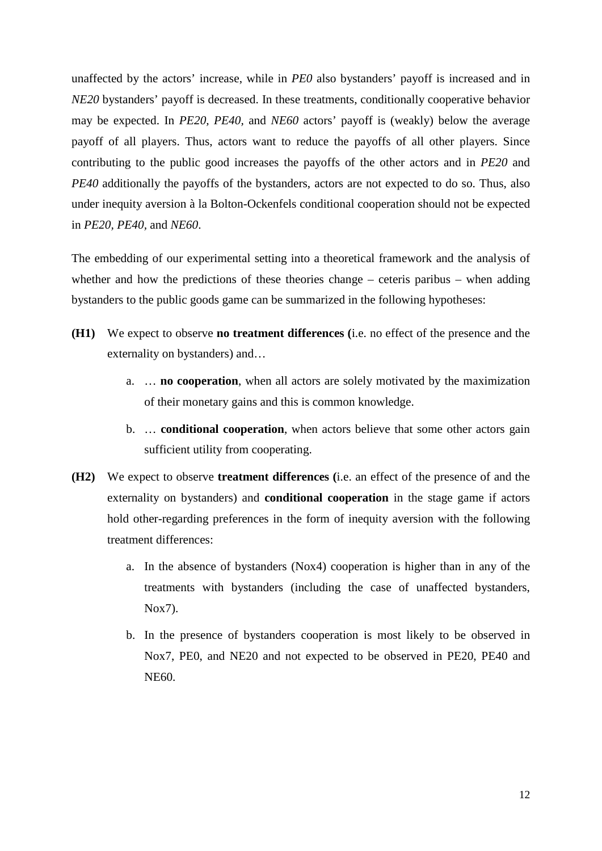unaffected by the actors' increase, while in *PE0* also bystanders' payoff is increased and in *NE20* bystanders' payoff is decreased. In these treatments, conditionally cooperative behavior may be expected. In *PE20, PE40,* and *NE60* actors' payoff is (weakly) below the average payoff of all players. Thus, actors want to reduce the payoffs of all other players. Since contributing to the public good increases the payoffs of the other actors and in *PE20* and *PE40* additionally the payoffs of the bystanders, actors are not expected to do so. Thus, also under inequity aversion à la Bolton-Ockenfels conditional cooperation should not be expected in *PE20, PE40,* and *NE60*.

The embedding of our experimental setting into a theoretical framework and the analysis of whether and how the predictions of these theories change – ceteris paribus – when adding bystanders to the public goods game can be summarized in the following hypotheses:

- **(H1)** We expect to observe **no treatment differences (**i.e. no effect of the presence and the externality on bystanders) and…
	- a. … **no cooperation**, when all actors are solely motivated by the maximization of their monetary gains and this is common knowledge.
	- b. … **conditional cooperation**, when actors believe that some other actors gain sufficient utility from cooperating.
- **(H2)** We expect to observe **treatment differences (**i.e. an effect of the presence of and the externality on bystanders) and **conditional cooperation** in the stage game if actors hold other-regarding preferences in the form of inequity aversion with the following treatment differences:
	- a. In the absence of bystanders (Nox4) cooperation is higher than in any of the treatments with bystanders (including the case of unaffected bystanders, Nox7).
	- b. In the presence of bystanders cooperation is most likely to be observed in Nox7, PE0, and NE20 and not expected to be observed in PE20, PE40 and NE60.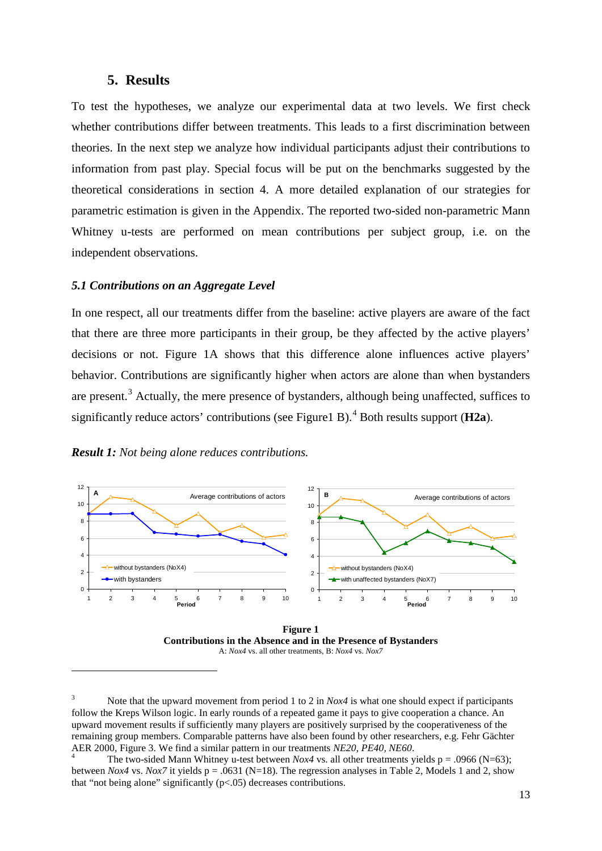## **5. Results**

To test the hypotheses, we analyze our experimental data at two levels. We first check whether contributions differ between treatments. This leads to a first discrimination between theories. In the next step we analyze how individual participants adjust their contributions to information from past play. Special focus will be put on the benchmarks suggested by the theoretical considerations in section 4. A more detailed explanation of our strategies for parametric estimation is given in the Appendix. The reported two-sided non-parametric Mann Whitney u-tests are performed on mean contributions per subject group, i.e. on the independent observations.

## *5.1 Contributions on an Aggregate Level*

In one respect, all our treatments differ from the baseline: active players are aware of the fact that there are three more participants in their group, be they affected by the active players' decisions or not. Figure 1A shows that this difference alone influences active players' behavior. Contributions are significantly higher when actors are alone than when bystanders are present.<sup>[3](#page-15-0)</sup> Actually, the mere presence of bystanders, although being unaffected, suffices to significantly reduce actors' contributions (see Figure1 B).<sup>[4](#page-15-1)</sup> Both results support  $(H2a)$ .

### *Result 1: Not being alone reduces contributions.*



**Figure 1 Contributions in the Absence and in the Presence of Bystanders** A: *Nox4* vs. all other treatments, B: *Nox4* vs. *Nox7*

<span id="page-15-0"></span>Note that the upward movement from period 1 to 2 in *Nox4* is what one should expect if participants follow the Kreps Wilson logic. In early rounds of a repeated game it pays to give cooperation a chance. An upward movement results if sufficiently many players are positively surprised by the cooperativeness of the remaining group members. Comparable patterns have also been found by other researchers, e.g. Fehr Gächter AER 2000. Figure 3. We find a similar pattern in our treatments NE20. PE40. NE60.

<span id="page-15-1"></span>The two-sided Mann Whitney u-test between *Nox4* vs. all other treatments yields p = .0966 (N=63); between *Nox4* vs. *Nox7* it yields  $p = .0631$  (N=18). The regression analyses in Table 2, Models 1 and 2, show that "not being alone" significantly  $(p<.05)$  decreases contributions.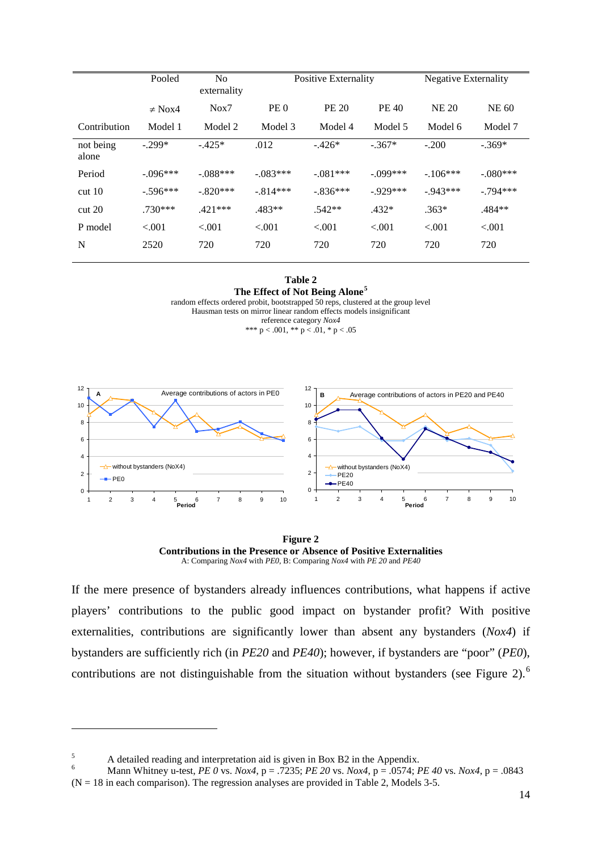|                    | Pooled      | N <sub>0</sub><br>externality |                 | <b>Positive Externality</b> |            | <b>Negative Externality</b> |              |
|--------------------|-------------|-------------------------------|-----------------|-----------------------------|------------|-----------------------------|--------------|
|                    | $\neq$ Nox4 | N <sub>ox</sub> 7             | PE <sub>0</sub> | PE 20                       | PE 40      | <b>NE 20</b>                | <b>NE 60</b> |
| Contribution       | Model 1     | Model 2                       | Model 3         | Model 4                     | Model 5    | Model 6                     | Model 7      |
| not being<br>alone | $-.299*$    | $-.425*$                      | .012            | $-.426*$                    | $-.367*$   | $-.200$                     | $-.369*$     |
| Period             | $-.096***$  | $-.088***$                    | $-.083***$      | $-.081***$                  | $-.099***$ | $-106***$                   | $-.080***$   |
| cut 10             | $-.596***$  | $-.820***$                    | $-.814***$      | $-.836***$                  | $-929***$  | $-943***$                   | $-794***$    |
| cut 20             | $.730***$   | $.421***$                     | $.483**$        | $.542**$                    | $.432*$    | $.363*$                     | .484**       |
| P model            | < 0.001     | < 0.001                       | < 0.01          | < 0.01                      | < 0.01     | < 0.01                      | < 0.001      |
| N                  | 2520        | 720                           | 720             | 720                         | 720        | 720                         | 720          |

<span id="page-16-1"></span>

\*\*\* p < .001, \*\* p < .01, \* p < .05



**Figure 2 Contributions in the Presence or Absence of Positive Externalities** A: Comparing *Nox4* with *PE0*, B: Comparing *Nox4* with *PE 20* and *PE40*

<span id="page-16-0"></span>If the mere presence of bystanders already influences contributions, what happens if active players' contributions to the public good impact on bystander profit? With positive externalities, contributions are significantly lower than absent any bystanders (*Nox4*) if bystanders are sufficiently rich (in *PE20* and *PE40*); however, if bystanders are "poor" (*PE0*), contributions are not distinguishable from the situation without bystanders (see [Figure 2\)](#page-16-0).<sup>[6](#page-16-3)</sup>

<span id="page-16-3"></span><span id="page-16-2"></span><sup>5</sup> A detailed reading and interpretation aid is given in Box B2 in the Appendix.<br><sup>6</sup> Mann Whitney u-test, *PE 0 vs. Nox4*, p = .7235; *PE 20 vs. Nox4*, p = .0574; *PE 40 vs. Nox4*, p = .0843  $(N = 18$  in each comparison). The regression analyses are provided i[n Table 2,](#page-16-1) Models 3-5.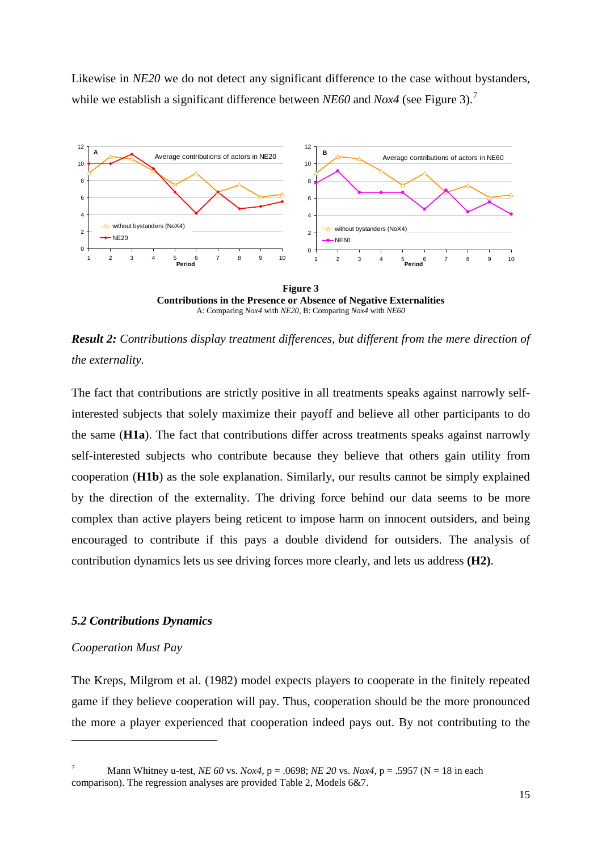Likewise in *NE20* we do not detect any significant difference to the case without bystanders, while we establish a significant difference between *NE60* and *Nox4* (see [Figure 3\)](#page-17-0).<sup>[7](#page-17-1)</sup>



**Contributions in the Presence or Absence of Negative Externalities** A: Comparing *Nox4* with *NE20*, B: Comparing *Nox4* with *NE60*

<span id="page-17-0"></span>*Result 2: Contributions display treatment differences, but different from the mere direction of the externality.*

The fact that contributions are strictly positive in all treatments speaks against narrowly selfinterested subjects that solely maximize their payoff and believe all other participants to do the same (**H1a**). The fact that contributions differ across treatments speaks against narrowly self-interested subjects who contribute because they believe that others gain utility from cooperation (**H1b**) as the sole explanation. Similarly, our results cannot be simply explained by the direction of the externality. The driving force behind our data seems to be more complex than active players being reticent to impose harm on innocent outsiders, and being encouraged to contribute if this pays a double dividend for outsiders. The analysis of contribution dynamics lets us see driving forces more clearly, and lets us address **(H2)**.

## *5.2 Contributions Dynamics*

#### *Cooperation Must Pay*

 $\overline{a}$ 

The [Kreps, Milgrom et al. \(1982\)](#page-32-13) model expects players to cooperate in the finitely repeated game if they believe cooperation will pay. Thus, cooperation should be the more pronounced the more a player experienced that cooperation indeed pays out. By not contributing to the

<span id="page-17-1"></span><sup>7</sup> Mann Whitney u-test, *NE 60* vs. *Nox4*, p = .0698; *NE 20* vs. *Nox4*, p = .5957 (N = 18 in each comparison). The regression analyses are provide[d Table 2,](#page-16-1) Models 6&7.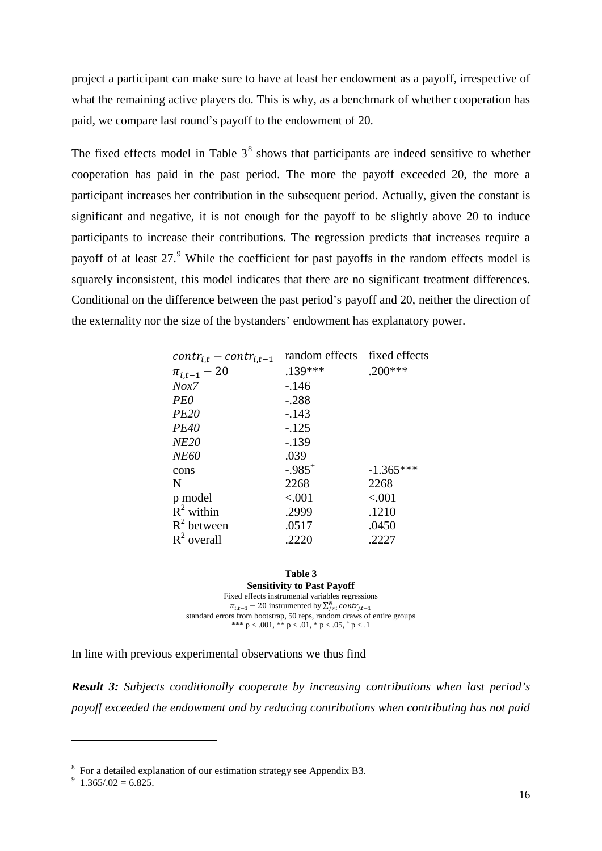project a participant can make sure to have at least her endowment as a payoff, irrespective of what the remaining active players do. This is why, as a benchmark of whether cooperation has paid, we compare last round's payoff to the endowment of 20.

The fixed effects model in Table  $3<sup>8</sup>$  $3<sup>8</sup>$  $3<sup>8</sup>$  shows that participants are indeed sensitive to whether cooperation has paid in the past period. The more the payoff exceeded 20, the more a participant increases her contribution in the subsequent period. Actually, given the constant is significant and negative, it is not enough for the payoff to be slightly above 20 to induce participants to increase their contributions. The regression predicts that increases require a payoff of at least 27.<sup>[9](#page-18-2)</sup> While the coefficient for past payoffs in the random effects model is squarely inconsistent, this model indicates that there are no significant treatment differences. Conditional on the difference between the past period's payoff and 20, neither the direction of the externality nor the size of the bystanders' endowment has explanatory power.

| $contr_{i,t} - contr_{i,t-1}$ | random effects | fixed effects |
|-------------------------------|----------------|---------------|
| $\pi_{i,t-1}$ – 20            | .139***        | $.200***$     |
| Nox7                          | $-146$         |               |
| PE <sub>0</sub>               | $-.288$        |               |
| PE20                          | $-143$         |               |
| <b>PE40</b>                   | $-.125$        |               |
| <i>NE20</i>                   | $-139$         |               |
| <b>NE60</b>                   | .039           |               |
| cons                          | $-.985+$       | $-1.365***$   |
| N                             | 2268           | 2268          |
| p model                       | < .001         | < .001        |
| $R^2$ within                  | .2999          | .1210         |
| $R^2$ between                 | .0517          | .0450         |
| $R^2$ overall                 | .2220          | .2227         |

**Table 3 Sensitivity to Past Payoff** Fixed effects instrumental variables regressions  $\pi_{i,t-1}$  – 20 instrumented by  $\sum_{i=1}^{N} contr_{i,t-1}$  $\mu_{t,t-1}$  zo instrumented by  $\sum_{j\neq t}$  contriguous standard errors from bootstrap, 50 reps, random draws of entire groups \*\*\* p < .001, \*\* p < .01, \* p < .05, + p < .1

<span id="page-18-0"></span>In line with previous experimental observations we thus find

*Result 3: Subjects conditionally cooperate by increasing contributions when last period's payoff exceeded the endowment and by reducing contributions when contributing has not paid*

<span id="page-18-1"></span><sup>&</sup>lt;sup>8</sup> For a detailed explanation of our estimation strategy see Appendix B3.<br><sup>9</sup> 1.365/.02 = 6.825.

<span id="page-18-2"></span>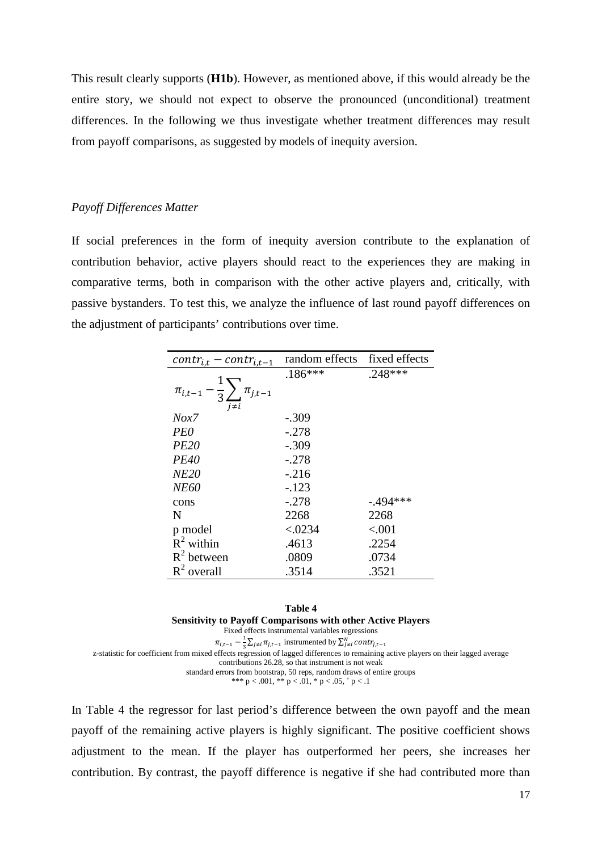This result clearly supports (**H1b**). However, as mentioned above, if this would already be the entire story, we should not expect to observe the pronounced (unconditional) treatment differences. In the following we thus investigate whether treatment differences may result from payoff comparisons, as suggested by models of inequity aversion.

## *Payoff Differences Matter*

If social preferences in the form of inequity aversion contribute to the explanation of contribution behavior, active players should react to the experiences they are making in comparative terms, both in comparison with the other active players and, critically, with passive bystanders. To test this, we analyze the influence of last round payoff differences on the adjustment of participants' contributions over time.

| $contr_{i,t} - contr_{i,t-1}$       | random effects | fixed effects |
|-------------------------------------|----------------|---------------|
|                                     | $.186***$      | $.248***$     |
| $\pi_{i,t-1}$<br>$\pi_{j,t-1}$<br>३ |                |               |
| $i \neq i$                          |                |               |
| Nox7                                | $-.309$        |               |
| PE0                                 | $-.278$        |               |
| <b>PE20</b>                         | $-.309$        |               |
| <i>PE40</i>                         | $-.278$        |               |
| <b>NE20</b>                         | $-.216$        |               |
| <b>NE60</b>                         | $-.123$        |               |
| cons                                | $-.278$        | $-.494***$    |
| N                                   | 2268           | 2268          |
| p model                             | < 0.0234       | < .001        |
| $R^2$ within                        | .4613          | .2254         |
| $R^2$ between                       | .0809          | .0734         |
| $R^2$ overall                       | .3514          | .3521         |

**Table 4 Sensitivity to Payoff Comparisons with other Active Players** Fixed effects instrumental variables regressions  $\pi_{i,t-1} - \frac{1}{3} \sum_{j \neq i} \pi_{j,t-1}$  instrumented by  $\sum_{j \neq i}^{N} contr_{j,t-1}$ z-statistic for coefficient from mixed effects regression of lagged differences to remaining active players on their lagged average contributions 26.28, so that instrument is not weak standard errors from bootstrap, 50 reps, random draws of entire groups \*\*\* p < .001, \*\* p < .01, \* p < .05,  $^{\circ}$  p < .1

In Table 4 the regressor for last period's difference between the own payoff and the mean payoff of the remaining active players is highly significant. The positive coefficient shows adjustment to the mean. If the player has outperformed her peers, she increases her contribution. By contrast, the payoff difference is negative if she had contributed more than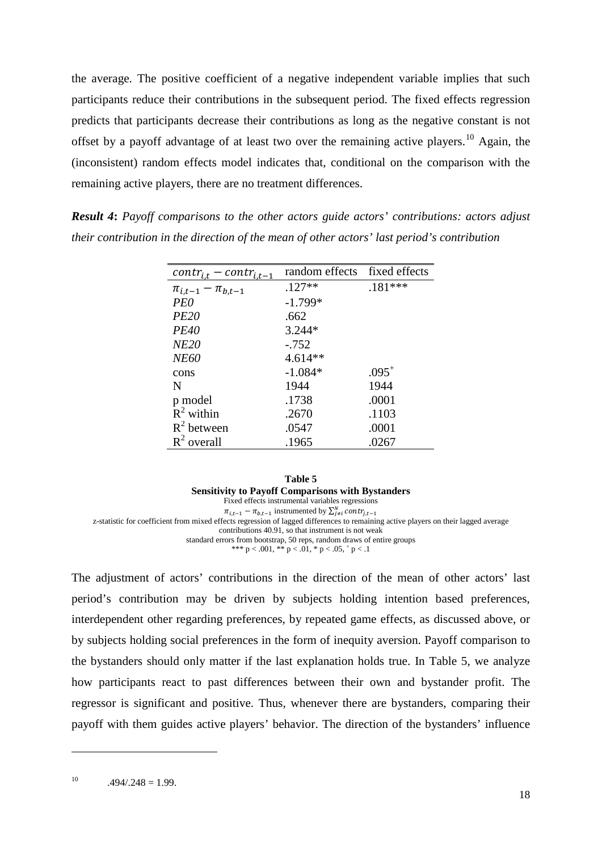the average. The positive coefficient of a negative independent variable implies that such participants reduce their contributions in the subsequent period. The fixed effects regression predicts that participants decrease their contributions as long as the negative constant is not offset by a payoff advantage of at least two over the remaining active players.<sup>[10](#page-20-0)</sup> Again, the (inconsistent) random effects model indicates that, conditional on the comparison with the remaining active players, there are no treatment differences.

| $contr_{i,t} - contr_{i,t-1}$ | random effects | fixed effects |
|-------------------------------|----------------|---------------|
| $\pi_{i,t-1} - \pi_{b,t-1}$   | $.127**$       | $.181***$     |
| <i>PEO</i>                    | $-1.799*$      |               |
| <i>PE20</i>                   | .662           |               |
| <i>PE40</i>                   | $3.244*$       |               |
| <i>NE20</i>                   | $-0.752$       |               |
| <b>NE60</b>                   | $4.614**$      |               |
| cons                          | $-1.084*$      | $.095^{+}$    |
| N                             | 1944           | 1944          |
| p model                       | .1738          | .0001         |
| $R^2$ within                  | .2670          | .1103         |
| $R^2$ between                 | .0547          | .0001         |
| $R^2$ overall                 | .1965          | .0267         |

*Result 4***:** *Payoff comparisons to the other actors guide actors' contributions: actors adjust their contribution in the direction of the mean of other actors' last period's contribution* 

#### **Table 5 Sensitivity to Payoff Comparisons with Bystanders** Fixed effects instrumental variables regressions  $\pi_{i,t-1} - \pi_{b,t-1}$  instrumented by  $\sum_{j\neq i}^{N} contr_{j,t-1}$ z-statistic for coefficient from mixed effects regression of lagged differences to remaining active players on their lagged average contributions 40.91, so that instrument is not weak standard errors from bootstrap, 50 reps, random draws of entire groups<br>\*\*\* p < .001, \*\* p < .01, \* p < .05,  $\frac{+}{x}$  p < .1

The adjustment of actors' contributions in the direction of the mean of other actors' last period's contribution may be driven by subjects holding intention based preferences, interdependent other regarding preferences, by repeated game effects, as discussed above, or by subjects holding social preferences in the form of inequity aversion. Payoff comparison to the bystanders should only matter if the last explanation holds true. In Table 5, we analyze how participants react to past differences between their own and bystander profit. The regressor is significant and positive. Thus, whenever there are bystanders, comparing their payoff with them guides active players' behavior. The direction of the bystanders' influence

<span id="page-20-0"></span> $10$  .494/.248 = 1.99.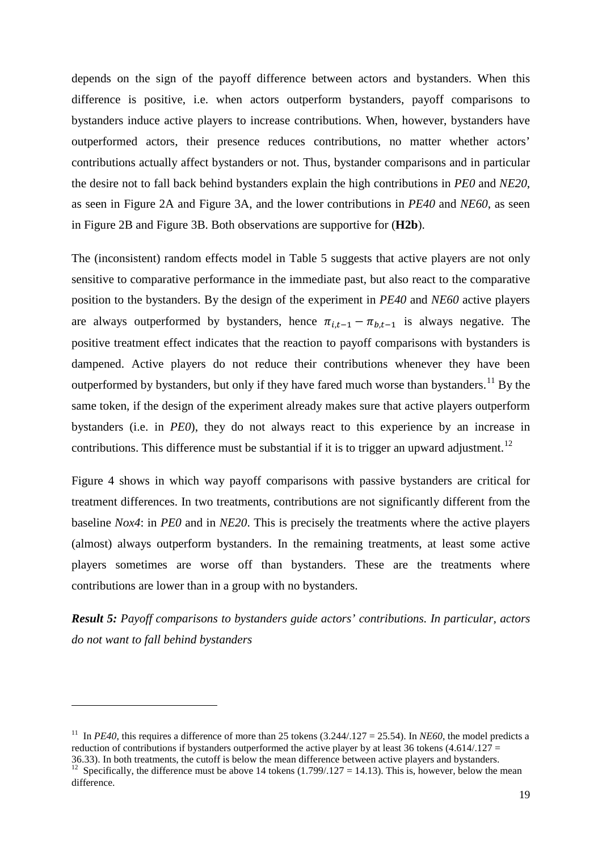depends on the sign of the payoff difference between actors and bystanders. When this difference is positive, i.e. when actors outperform bystanders, payoff comparisons to bystanders induce active players to increase contributions. When, however, bystanders have outperformed actors, their presence reduces contributions, no matter whether actors' contributions actually affect bystanders or not. Thus, bystander comparisons and in particular the desire not to fall back behind bystanders explain the high contributions in *PE0* and *NE20*, as seen in Figure 2A and Figure 3A, and the lower contributions in *PE40* and *NE60*, as seen in Figure 2B and Figure 3B. Both observations are supportive for (**H2b**).

The (inconsistent) random effects model in Table 5 suggests that active players are not only sensitive to comparative performance in the immediate past, but also react to the comparative position to the bystanders. By the design of the experiment in *PE40* and *NE60* active players are always outperformed by bystanders, hence  $\pi_{i,t-1} - \pi_{b,t-1}$  is always negative. The positive treatment effect indicates that the reaction to payoff comparisons with bystanders is dampened. Active players do not reduce their contributions whenever they have been outperformed by bystanders, but only if they have fared much worse than bystanders.<sup>[11](#page-21-0)</sup> By the same token, if the design of the experiment already makes sure that active players outperform bystanders (i.e. in *PE0*), they do not always react to this experience by an increase in contributions. This difference must be substantial if it is to trigger an upward adjustment.<sup>[12](#page-21-1)</sup>

[Figure 4](#page-22-0) shows in which way payoff comparisons with passive bystanders are critical for treatment differences. In two treatments, contributions are not significantly different from the baseline *Nox4*: in *PE0* and in *NE20*. This is precisely the treatments where the active players (almost) always outperform bystanders. In the remaining treatments, at least some active players sometimes are worse off than bystanders. These are the treatments where contributions are lower than in a group with no bystanders.

*Result 5: Payoff comparisons to bystanders guide actors' contributions. In particular, actors do not want to fall behind bystanders*

<span id="page-21-0"></span><sup>&</sup>lt;sup>11</sup> In *PE40*, this requires a difference of more than 25 tokens (3.244/.127 = 25.54). In *NE60*, the model predicts a reduction of contributions if bystanders outperformed the active player by at least 36 tokens  $(4.614/127 = 36.33)$ . In both treatments, the cutoff is below the mean difference between active players and bystanders.

<span id="page-21-1"></span><sup>&</sup>lt;sup>12</sup> Specifically, the difference must be above 14 tokens (1.799/.127 = 14.13). This is, however, below the mean difference.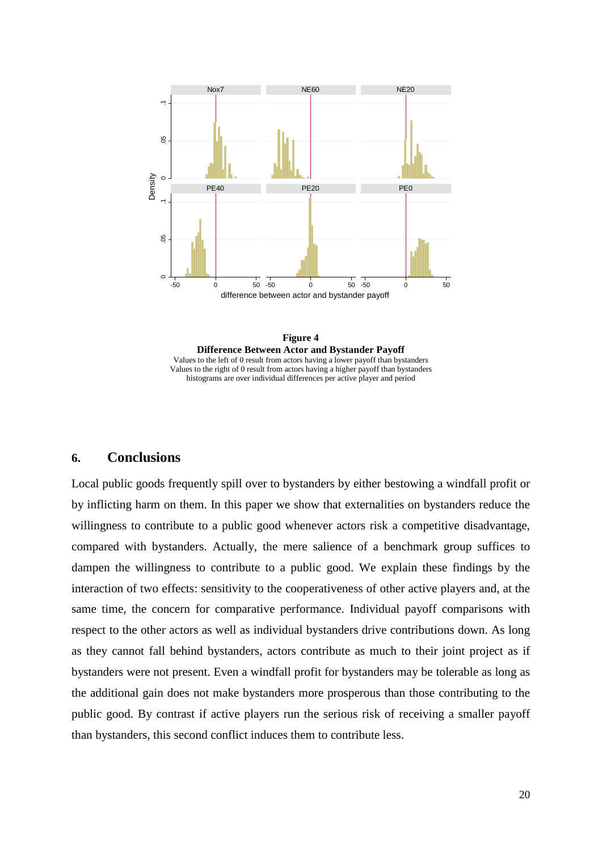

<span id="page-22-0"></span>

# **6. Conclusions**

Local public goods frequently spill over to bystanders by either bestowing a windfall profit or by inflicting harm on them. In this paper we show that externalities on bystanders reduce the willingness to contribute to a public good whenever actors risk a competitive disadvantage, compared with bystanders. Actually, the mere salience of a benchmark group suffices to dampen the willingness to contribute to a public good. We explain these findings by the interaction of two effects: sensitivity to the cooperativeness of other active players and, at the same time, the concern for comparative performance. Individual payoff comparisons with respect to the other actors as well as individual bystanders drive contributions down. As long as they cannot fall behind bystanders, actors contribute as much to their joint project as if bystanders were not present. Even a windfall profit for bystanders may be tolerable as long as the additional gain does not make bystanders more prosperous than those contributing to the public good. By contrast if active players run the serious risk of receiving a smaller payoff than bystanders, this second conflict induces them to contribute less.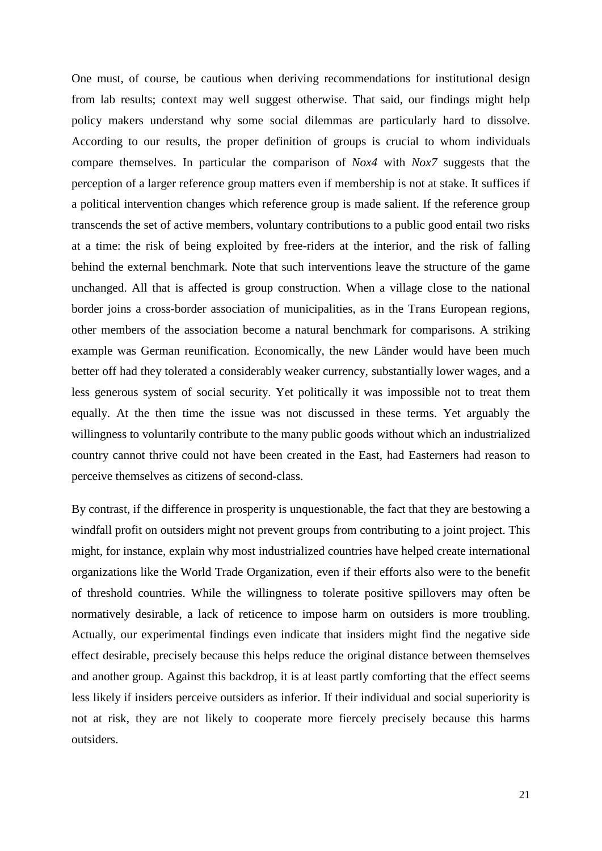One must, of course, be cautious when deriving recommendations for institutional design from lab results; context may well suggest otherwise. That said, our findings might help policy makers understand why some social dilemmas are particularly hard to dissolve. According to our results, the proper definition of groups is crucial to whom individuals compare themselves. In particular the comparison of *Nox4* with *Nox7* suggests that the perception of a larger reference group matters even if membership is not at stake. It suffices if a political intervention changes which reference group is made salient. If the reference group transcends the set of active members, voluntary contributions to a public good entail two risks at a time: the risk of being exploited by free-riders at the interior, and the risk of falling behind the external benchmark. Note that such interventions leave the structure of the game unchanged. All that is affected is group construction. When a village close to the national border joins a cross-border association of municipalities, as in the Trans European regions, other members of the association become a natural benchmark for comparisons. A striking example was German reunification. Economically, the new Länder would have been much better off had they tolerated a considerably weaker currency, substantially lower wages, and a less generous system of social security. Yet politically it was impossible not to treat them equally. At the then time the issue was not discussed in these terms. Yet arguably the willingness to voluntarily contribute to the many public goods without which an industrialized country cannot thrive could not have been created in the East, had Easterners had reason to perceive themselves as citizens of second-class.

By contrast, if the difference in prosperity is unquestionable, the fact that they are bestowing a windfall profit on outsiders might not prevent groups from contributing to a joint project. This might, for instance, explain why most industrialized countries have helped create international organizations like the World Trade Organization, even if their efforts also were to the benefit of threshold countries. While the willingness to tolerate positive spillovers may often be normatively desirable, a lack of reticence to impose harm on outsiders is more troubling. Actually, our experimental findings even indicate that insiders might find the negative side effect desirable, precisely because this helps reduce the original distance between themselves and another group. Against this backdrop, it is at least partly comforting that the effect seems less likely if insiders perceive outsiders as inferior. If their individual and social superiority is not at risk, they are not likely to cooperate more fiercely precisely because this harms outsiders.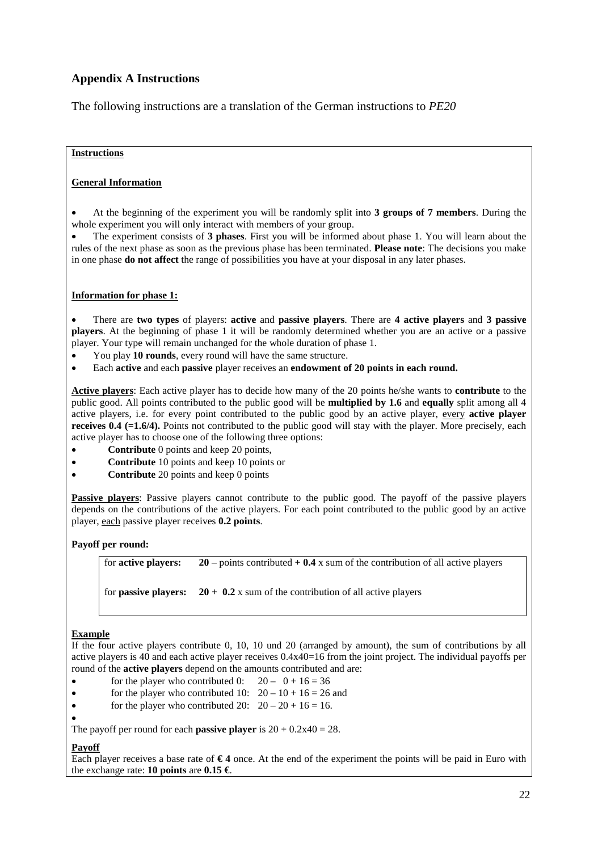# **Appendix A Instructions**

The following instructions are a translation of the German instructions to *PE20*

## **Instructions**

## **General Information**

• At the beginning of the experiment you will be randomly split into **3 groups of 7 members**. During the whole experiment you will only interact with members of your group.

• The experiment consists of **3 phases**. First you will be informed about phase 1. You will learn about the rules of the next phase as soon as the previous phase has been terminated. **Please note**: The decisions you make in one phase **do not affect** the range of possibilities you have at your disposal in any later phases.

#### **Information for phase 1:**

• There are **two types** of players: **active** and **passive players**. There are **4 active players** and **3 passive players**. At the beginning of phase 1 it will be randomly determined whether you are an active or a passive player. Your type will remain unchanged for the whole duration of phase 1.

- You play **10 rounds**, every round will have the same structure.
- Each **active** and each **passive** player receives an **endowment of 20 points in each round.**

**Active players**: Each active player has to decide how many of the 20 points he/she wants to **contribute** to the public good. All points contributed to the public good will be **multiplied by 1.6** and **equally** split among all 4 active players, i.e. for every point contributed to the public good by an active player, every **active player receives 0.4 (=1.6/4).** Points not contributed to the public good will stay with the player. More precisely, each active player has to choose one of the following three options:

- **Contribute** 0 points and keep 20 points,
- **Contribute** 10 points and keep 10 points or
- **Contribute** 20 points and keep 0 points

**Passive players**: Passive players cannot contribute to the public good. The payoff of the passive players depends on the contributions of the active players. For each point contributed to the public good by an active player, each passive player receives **0.2 points**.

**Payoff per round:**

for **active players:**  $20$  – points contributed  $+ 0.4$  x sum of the contribution of all active players

for **passive players:**  $20 + 0.2x$  sum of the contribution of all active players

#### **Example**

If the four active players contribute 0, 10, 10 und 20 (arranged by amount), the sum of contributions by all active players is 40 and each active player receives  $0.4x40=16$  from the joint project. The individual payoffs per round of the **active players** depend on the amounts contributed and are:

- for the player who contributed 0:  $20 0 + 16 = 36$
- for the player who contributed 10:  $20 10 + 16 = 26$  and
- for the player who contributed 20:  $20 20 + 16 = 16$ .
- •

The payoff per round for each **passive player** is  $20 + 0.2x40 = 28$ .

#### **Payoff**

Each player receives a base rate of **€ 4** once. At the end of the experiment the points will be paid in Euro with the exchange rate: **10 points** are **0.15 €**.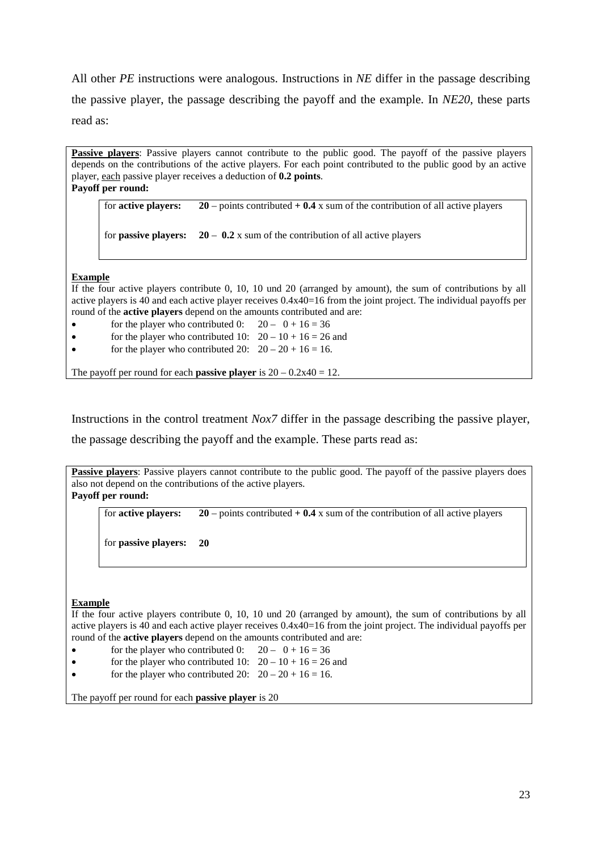All other *PE* instructions were analogous. Instructions in *NE* differ in the passage describing the passive player, the passage describing the payoff and the example. In *NE20*, these parts read as:

**Passive players**: Passive players cannot contribute to the public good. The payoff of the passive players depends on the contributions of the active players. For each point contributed to the public good by an active player, each passive player receives a deduction of **0.2 points**. **Payoff per round:**

for **active players:**  $20$  – points contributed  $+ 0.4$  x sum of the contribution of all active players

for **passive players:**  $20 - 0.2x$  sum of the contribution of all active players

#### **Example**

If the four active players contribute 0, 10, 10 und 20 (arranged by amount), the sum of contributions by all active players is 40 and each active player receives  $0.4x40=16$  from the joint project. The individual payoffs per round of the **active players** depend on the amounts contributed and are:

- for the player who contributed 0:  $20 0 + 16 = 36$
- for the player who contributed 10:  $20 10 + 16 = 26$  and
- for the player who contributed 20:  $20 20 + 16 = 16$ .

The payoff per round for each **passive player** is  $20 - 0.2x40 = 12$ .

Instructions in the control treatment *Nox7* differ in the passage describing the passive player,

the passage describing the payoff and the example. These parts read as:

Passive players: Passive players cannot contribute to the public good. The payoff of the passive players does also not depend on the contributions of the active players.

**Payoff per round:**

for **active players:**  $20$  – points contributed  $+ 0.4$  x sum of the contribution of all active players

for **passive players: 20**

#### **Example**

If the four active players contribute 0, 10, 10 und 20 (arranged by amount), the sum of contributions by all active players is 40 and each active player receives  $0.4x40=16$  from the joint project. The individual payoffs per round of the **active players** depend on the amounts contributed and are:

- for the player who contributed 0:  $20 0 + 16 = 36$
- for the player who contributed 10:  $20 10 + 16 = 26$  and
- for the player who contributed 20:  $20 20 + 16 = 16$ .

The payoff per round for each **passive player** is 20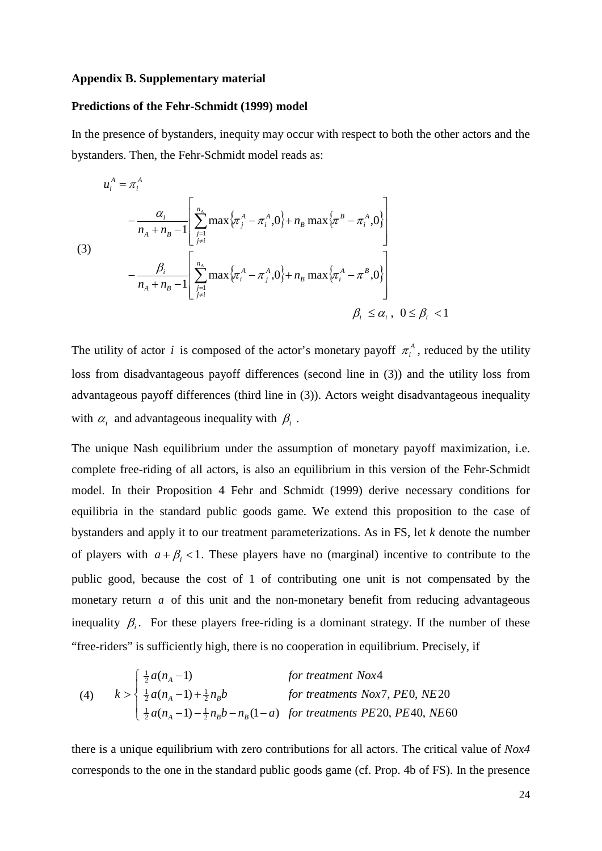#### **Appendix B. Supplementary material**

### **Predictions of the Fehr-Schmidt (1999) model**

In the presence of bystanders, inequity may occur with respect to both the other actors and the bystanders. Then, the Fehr-Schmidt model reads as:

$$
u_i^A = \pi_i^A
$$
  
\n
$$
-\frac{\alpha_i}{n_A + n_B - 1} \left[ \sum_{\substack{j=1 \ j \neq i}}^{n_A} \max \{ \pi_j^A - \pi_i^A, 0 \} + n_B \max \{ \pi^B - \pi_i^A, 0 \} \right]
$$
  
\n(3)  
\n
$$
-\frac{\beta_i}{n_A + n_B - 1} \left[ \sum_{\substack{j=1 \ j \neq i}}^{n_A} \max \{ \pi_i^A - \pi_j^A, 0 \} + n_B \max \{ \pi_i^A - \pi^B, 0 \} \right]
$$
  
\n
$$
\beta_i \leq \alpha_i, \quad 0 \leq \beta_i < 1
$$

The utility of actor *i* is composed of the actor's monetary payoff  $\pi_i^A$ , reduced by the utility loss from disadvantageous payoff differences (second line in (3)) and the utility loss from advantageous payoff differences (third line in (3)). Actors weight disadvantageous inequality with  $\alpha_i$  and advantageous inequality with  $\beta_i$ .

The unique Nash equilibrium under the assumption of monetary payoff maximization, i.e. complete free-riding of all actors, is also an equilibrium in this version of the Fehr-Schmidt model. In their Proposition 4 Fehr and Schmidt (1999) derive necessary conditions for equilibria in the standard public goods game. We extend this proposition to the case of bystanders and apply it to our treatment parameterizations. As in FS, let *k* denote the number of players with  $a + \beta_i < 1$ . These players have no (marginal) incentive to contribute to the public good, because the cost of 1 of contributing one unit is not compensated by the monetary return *a* of this unit and the non-monetary benefit from reducing advantageous inequality  $\beta_i$ . For these players free-riding is a dominant strategy. If the number of these "free-riders" is sufficiently high, there is no cooperation in equilibrium. Precisely, if

(4) 
$$
k > \begin{cases} \frac{1}{2}a(n_A - 1) & \text{for treatment Nox4} \\ \frac{1}{2}a(n_A - 1) + \frac{1}{2}n_Bb & \text{for treatments Nox7, PE0, NE20} \\ \frac{1}{2}a(n_A - 1) - \frac{1}{2}n_Bb - n_B(1 - a) & \text{for treatments PE20, PE40, NE60} \end{cases}
$$

there is a unique equilibrium with zero contributions for all actors. The critical value of *Nox4* corresponds to the one in the standard public goods game (cf. Prop. 4b of FS). In the presence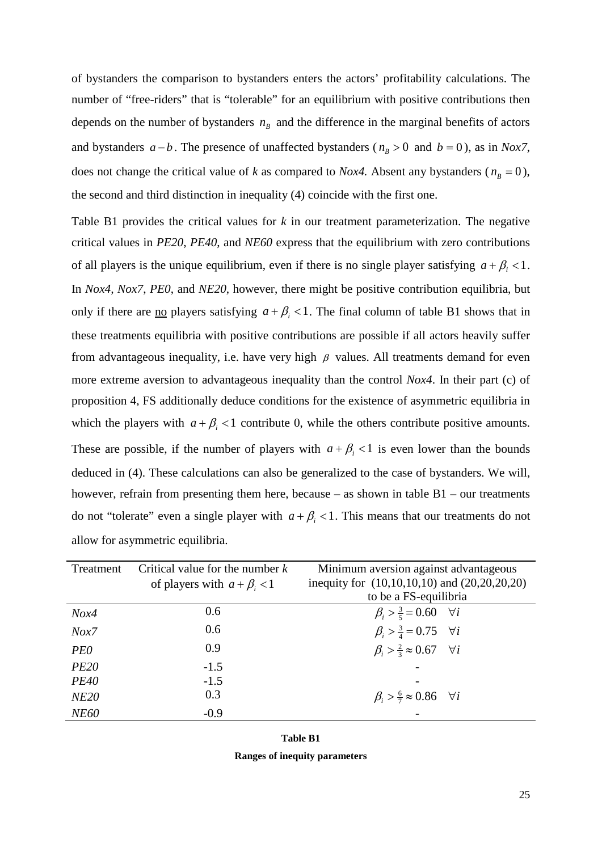of bystanders the comparison to bystanders enters the actors' profitability calculations. The number of "free-riders" that is "tolerable" for an equilibrium with positive contributions then depends on the number of bystanders  $n<sub>B</sub>$  and the difference in the marginal benefits of actors and bystanders  $a - b$ . The presence of unaffected bystanders ( $n<sub>B</sub> > 0$  and  $b = 0$ ), as in *Nox7*, does not change the critical value of *k* as compared to *Nox4*. Absent any bystanders ( $n<sub>B</sub> = 0$ ), the second and third distinction in inequality (4) coincide with the first one.

Table B1 provides the critical values for *k* in our treatment parameterization. The negative critical values in *PE20*, *PE40*, and *NE60* express that the equilibrium with zero contributions of all players is the unique equilibrium, even if there is no single player satisfying  $a + \beta_i < 1$ . In *Nox4, Nox7*, *PE0*, and *NE20*, however, there might be positive contribution equilibria, but only if there are <u>no</u> players satisfying  $a + \beta_i < 1$ . The final column of table B1 shows that in these treatments equilibria with positive contributions are possible if all actors heavily suffer from advantageous inequality, i.e. have very high  $\beta$  values. All treatments demand for even more extreme aversion to advantageous inequality than the control *Nox4*. In their part (c) of proposition 4, FS additionally deduce conditions for the existence of asymmetric equilibria in which the players with  $a + \beta_i < 1$  contribute 0, while the others contribute positive amounts. These are possible, if the number of players with  $a + \beta_i < 1$  is even lower than the bounds deduced in (4). These calculations can also be generalized to the case of bystanders. We will, however, refrain from presenting them here, because – as shown in table  $B1$  – our treatments do not "tolerate" even a single player with  $a + \beta_i < 1$ . This means that our treatments do not allow for asymmetric equilibria.

| Treatment       | Critical value for the number $k$ | Minimum aversion against advantageous            |
|-----------------|-----------------------------------|--------------------------------------------------|
|                 | of players with $a + \beta_i < 1$ | inequity for (10,10,10,10) and (20,20,20,20)     |
|                 |                                   | to be a FS-equilibria                            |
| Nox4            | 0.6                               | $\beta_i > \frac{3}{5} = 0.60$ $\forall i$       |
| Nox7            | 0.6                               | $\beta_i > \frac{3}{4} = 0.75$ $\forall i$       |
| PE <sub>0</sub> | 0.9                               | $\beta_i > \frac{2}{3} \approx 0.67$ $\forall i$ |
| <b>PE20</b>     | $-1.5$                            |                                                  |
| <b>PE40</b>     | $-1.5$                            |                                                  |
| <b>NE20</b>     | 0.3                               | $\beta_i > \frac{6}{7} \approx 0.86$ $\forall i$ |
| <i>NE60</i>     | $-0.9$                            |                                                  |

| Table B1 |
|----------|
|          |

**Ranges of inequity parameters**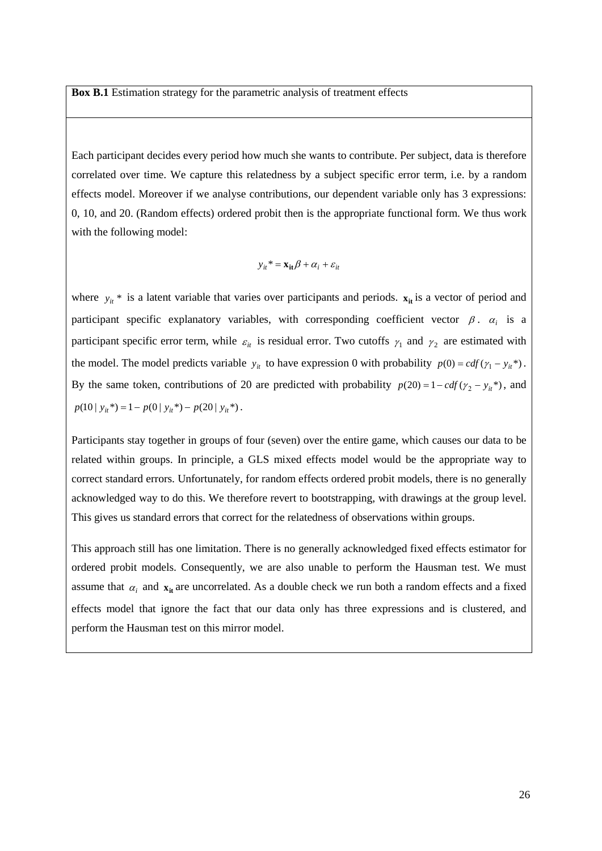**Box B.1** Estimation strategy for the parametric analysis of treatment effects

Each participant decides every period how much she wants to contribute. Per subject, data is therefore correlated over time. We capture this relatedness by a subject specific error term, i.e. by a random effects model. Moreover if we analyse contributions, our dependent variable only has 3 expressions: 0, 10, and 20. (Random effects) ordered probit then is the appropriate functional form. We thus work with the following model:

$$
y_{it}^* = \mathbf{x}_{it} \boldsymbol{\beta} + \alpha_i + \varepsilon_{it}
$$

where  $y_i$ <sup>\*</sup> is a latent variable that varies over participants and periods.  $\mathbf{x}_{it}$  is a vector of period and participant specific explanatory variables, with corresponding coefficient vector  $\beta$ .  $\alpha_i$  is a participant specific error term, while  $\varepsilon_{it}$  is residual error. Two cutoffs  $\gamma_1$  and  $\gamma_2$  are estimated with the model. The model predicts variable  $y_{it}$  to have expression 0 with probability  $p(0) = cdf(y_1 - y_{it}^*)$ . By the same token, contributions of 20 are predicted with probability  $p(20) = 1 - cdf(y_2 - y_i^*)$ , and  $p(10 | y_{it}^*) = 1 - p(0 | y_{it}^*) - p(20 | y_{it}^*)$ .

Participants stay together in groups of four (seven) over the entire game, which causes our data to be related within groups. In principle, a GLS mixed effects model would be the appropriate way to correct standard errors. Unfortunately, for random effects ordered probit models, there is no generally acknowledged way to do this. We therefore revert to bootstrapping, with drawings at the group level. This gives us standard errors that correct for the relatedness of observations within groups.

This approach still has one limitation. There is no generally acknowledged fixed effects estimator for ordered probit models. Consequently, we are also unable to perform the Hausman test. We must assume that  $\alpha_i$  and  $\mathbf{x}_{it}$  are uncorrelated. As a double check we run both a random effects and a fixed effects model that ignore the fact that our data only has three expressions and is clustered, and perform the Hausman test on this mirror model.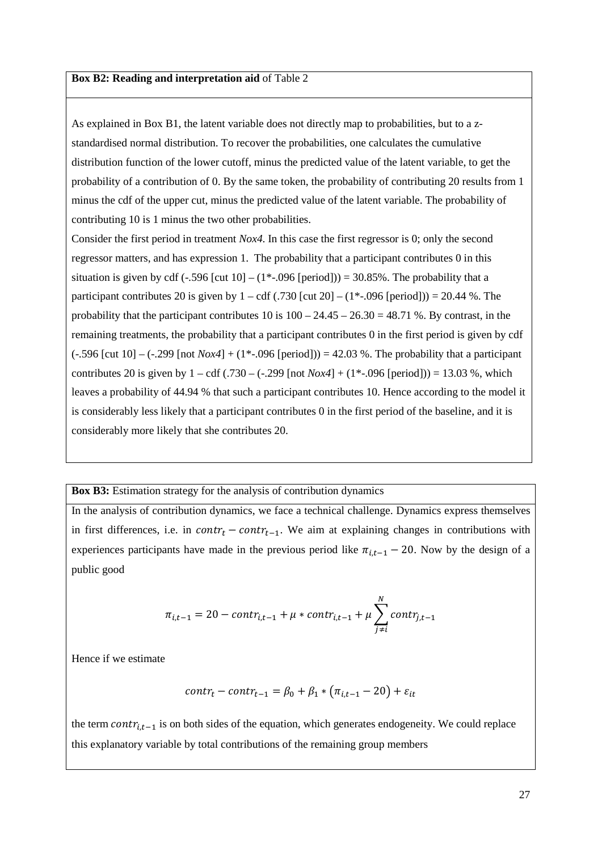#### **Box B2: Reading and interpretation aid** of Table 2

As explained in Box B1, the latent variable does not directly map to probabilities, but to a zstandardised normal distribution. To recover the probabilities, one calculates the cumulative distribution function of the lower cutoff, minus the predicted value of the latent variable, to get the probability of a contribution of 0. By the same token, the probability of contributing 20 results from 1 minus the cdf of the upper cut, minus the predicted value of the latent variable. The probability of contributing 10 is 1 minus the two other probabilities.

Consider the first period in treatment *Nox4*. In this case the first regressor is 0; only the second regressor matters, and has expression 1. The probability that a participant contributes 0 in this situation is given by cdf  $(-.596$  [cut  $10] - (1*-.096$  [period])) = 30.85%. The probability that a participant contributes 20 is given by  $1 - cdf$  (.730 [cut 20]  $- (1^*$ -.096 [period])) = 20.44 %. The probability that the participant contributes  $10$  is  $100 - 24.45 - 26.30 = 48.71$  %. By contrast, in the remaining treatments, the probability that a participant contributes 0 in the first period is given by cdf (-.596 [cut 10] – (-.299 [not *Nox4*] + (1\*-.096 [period])) = 42.03 %. The probability that a participant contributes 20 is given by  $1 - \text{cdf}(.730 - (-0.299) \text{ [not } \text{Nox4}] + (1^* - 0.096 \text{ [period]}) = 13.03 \%$ , which leaves a probability of 44.94 % that such a participant contributes 10. Hence according to the model it is considerably less likely that a participant contributes 0 in the first period of the baseline, and it is considerably more likely that she contributes 20.

**Box B3:** Estimation strategy for the analysis of contribution dynamics

In the analysis of contribution dynamics, we face a technical challenge. Dynamics express themselves in first differences, i.e. in  $contr<sub>t-1</sub>$ . We aim at explaining changes in contributions with experiences participants have made in the previous period like  $\pi_{i,t-1}$  – 20. Now by the design of a public good

$$
\pi_{i,t-1} = 20 - contr_{i,t-1} + \mu * contr_{i,t-1} + \mu \sum_{j \neq i}^{N} contr_{j,t-1}
$$

Hence if we estimate

$$
contrt - contrt-1 = \beta_0 + \beta_1 * (\pi_{i,t-1} - 20) + \varepsilon_{it}
$$

the term contr<sub>it-1</sub> is on both sides of the equation, which generates endogeneity. We could replace this explanatory variable by total contributions of the remaining group members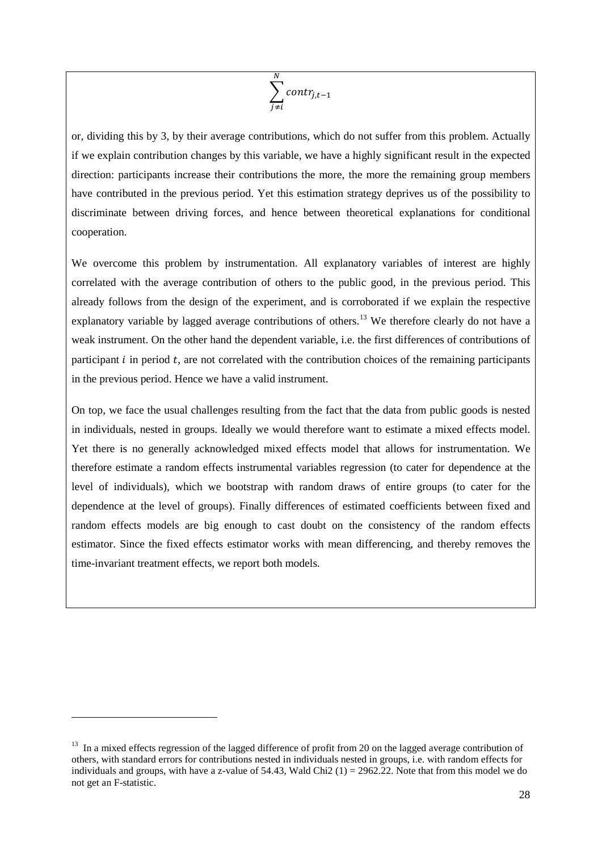$\sum$  contr<sub>j,t−1</sub>  $\frac{N}{2}$  $j ≠ l$ 

or, dividing this by 3, by their average contributions, which do not suffer from this problem. Actually if we explain contribution changes by this variable, we have a highly significant result in the expected direction: participants increase their contributions the more, the more the remaining group members have contributed in the previous period. Yet this estimation strategy deprives us of the possibility to discriminate between driving forces, and hence between theoretical explanations for conditional cooperation.

We overcome this problem by instrumentation. All explanatory variables of interest are highly correlated with the average contribution of others to the public good, in the previous period. This already follows from the design of the experiment, and is corroborated if we explain the respective explanatory variable by lagged average contributions of others.<sup>[13](#page-30-0)</sup> We therefore clearly do not have a weak instrument. On the other hand the dependent variable, i.e. the first differences of contributions of participant  $i$  in period  $t$ , are not correlated with the contribution choices of the remaining participants in the previous period. Hence we have a valid instrument.

On top, we face the usual challenges resulting from the fact that the data from public goods is nested in individuals, nested in groups. Ideally we would therefore want to estimate a mixed effects model. Yet there is no generally acknowledged mixed effects model that allows for instrumentation. We therefore estimate a random effects instrumental variables regression (to cater for dependence at the level of individuals), which we bootstrap with random draws of entire groups (to cater for the dependence at the level of groups). Finally differences of estimated coefficients between fixed and random effects models are big enough to cast doubt on the consistency of the random effects estimator. Since the fixed effects estimator works with mean differencing, and thereby removes the time-invariant treatment effects, we report both models.

<span id="page-30-0"></span> $13$  In a mixed effects regression of the lagged difference of profit from 20 on the lagged average contribution of others, with standard errors for contributions nested in individuals nested in groups, i.e. with random effects for individuals and groups, with have a z-value of  $54.43$ , Wald Chi2 (1) = 2962.22. Note that from this model we do not get an F-statistic.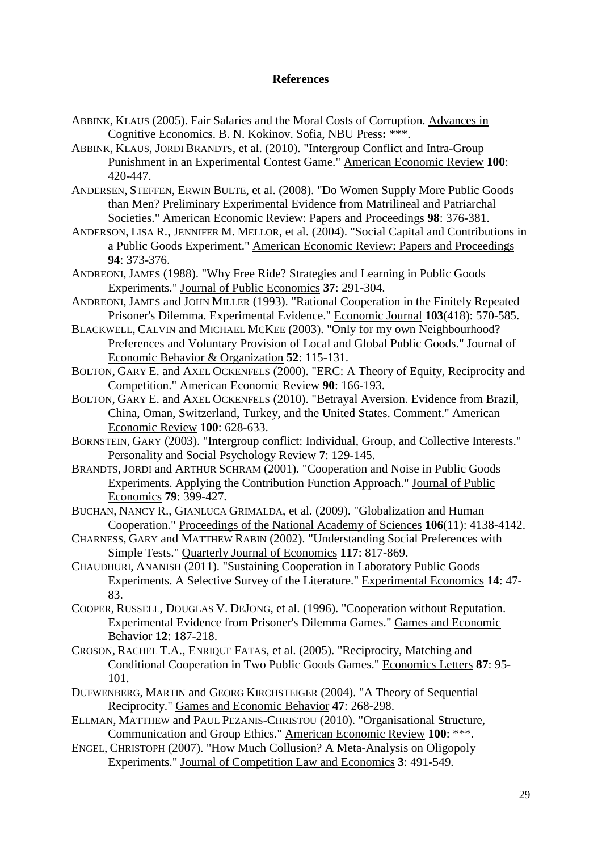## **References**

- <span id="page-31-5"></span>ABBINK, KLAUS (2005). Fair Salaries and the Moral Costs of Corruption. Advances in Cognitive Economics. B. N. Kokinov. Sofia, NBU Press**:** \*\*\*.
- <span id="page-31-8"></span>ABBINK, KLAUS, JORDI BRANDTS, et al. (2010). "Intergroup Conflict and Intra-Group Punishment in an Experimental Contest Game." American Economic Review **100**: 420-447.
- <span id="page-31-1"></span>ANDERSEN, STEFFEN, ERWIN BULTE, et al. (2008). "Do Women Supply More Public Goods than Men? Preliminary Experimental Evidence from Matrilineal and Patriarchal Societies." American Economic Review: Papers and Proceedings **98**: 376-381.
- <span id="page-31-0"></span>ANDERSON, LISA R., JENNIFER M. MELLOR, et al. (2004). "Social Capital and Contributions in a Public Goods Experiment." American Economic Review: Papers and Proceedings **94**: 373-376.
- <span id="page-31-13"></span>ANDREONI, JAMES (1988). "Why Free Ride? Strategies and Learning in Public Goods Experiments." Journal of Public Economics **37**: 291-304.
- <span id="page-31-14"></span>ANDREONI, JAMES and JOHN MILLER (1993). "Rational Cooperation in the Finitely Repeated Prisoner's Dilemma. Experimental Evidence." Economic Journal **103**(418): 570-585.
- <span id="page-31-9"></span>BLACKWELL, CALVIN and MICHAEL MCKEE (2003). "Only for my own Neighbourhood? Preferences and Voluntary Provision of Local and Global Public Goods." Journal of Economic Behavior & Organization **52**: 115-131.
- <span id="page-31-16"></span>BOLTON, GARY E. and AXEL OCKENFELS (2000). "ERC: A Theory of Equity, Reciprocity and Competition." American Economic Review **90**: 166-193.
- <span id="page-31-4"></span>BOLTON, GARY E. and AXEL OCKENFELS (2010). "Betrayal Aversion. Evidence from Brazil, China, Oman, Switzerland, Turkey, and the United States. Comment." American Economic Review **100**: 628-633.
- <span id="page-31-7"></span>BORNSTEIN, GARY (2003). "Intergroup conflict: Individual, Group, and Collective Interests." Personality and Social Psychology Review **7**: 129-145.
- <span id="page-31-2"></span>BRANDTS, JORDI and ARTHUR SCHRAM (2001). "Cooperation and Noise in Public Goods Experiments. Applying the Contribution Function Approach." Journal of Public Economics **79**: 399-427.
- <span id="page-31-10"></span>BUCHAN, NANCY R., GIANLUCA GRIMALDA, et al. (2009). "Globalization and Human Cooperation." Proceedings of the National Academy of Sciences **106**(11): 4138-4142.
- <span id="page-31-17"></span>CHARNESS, GARY and MATTHEW RABIN (2002). "Understanding Social Preferences with Simple Tests." Quarterly Journal of Economics **117**: 817-869.
- <span id="page-31-12"></span>CHAUDHURI, ANANISH (2011). "Sustaining Cooperation in Laboratory Public Goods Experiments. A Selective Survey of the Literature." Experimental Economics **14**: 47- 83.
- <span id="page-31-15"></span>COOPER, RUSSELL, DOUGLAS V. DEJONG, et al. (1996). "Cooperation without Reputation. Experimental Evidence from Prisoner's Dilemma Games." Games and Economic Behavior **12**: 187-218.
- <span id="page-31-3"></span>CROSON, RACHEL T.A., ENRIQUE FATAS, et al. (2005). "Reciprocity, Matching and Conditional Cooperation in Two Public Goods Games." Economics Letters **87**: 95- 101.
- <span id="page-31-18"></span>DUFWENBERG, MARTIN and GEORG KIRCHSTEIGER (2004). "A Theory of Sequential Reciprocity." Games and Economic Behavior **47**: 268-298.
- <span id="page-31-6"></span>ELLMAN, MATTHEW and PAUL PEZANIS-CHRISTOU (2010). "Organisational Structure, Communication and Group Ethics." American Economic Review **100**: \*\*\*.
- <span id="page-31-11"></span>ENGEL, CHRISTOPH (2007). "How Much Collusion? A Meta-Analysis on Oligopoly Experiments." Journal of Competition Law and Economics **3**: 491-549.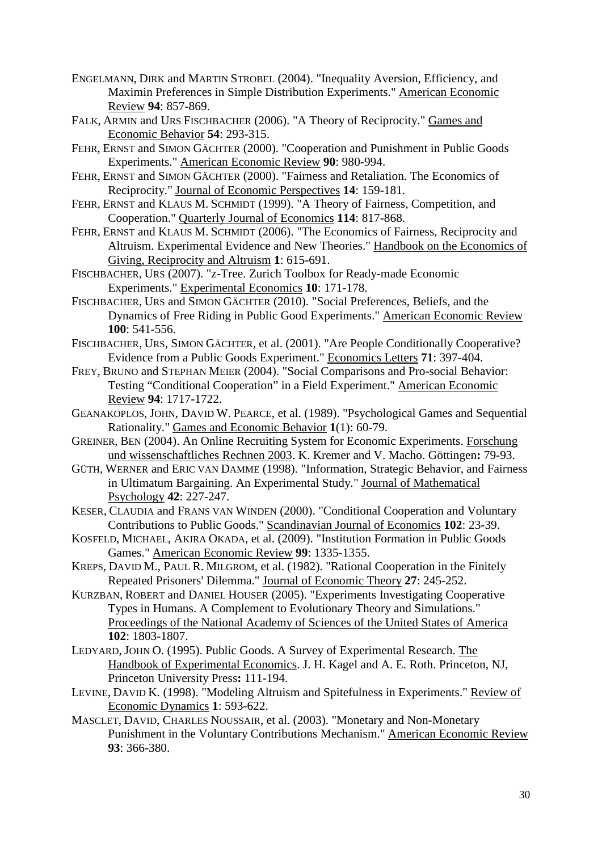- ENGELMANN, DIRK and MARTIN STROBEL (2004). "Inequality Aversion, Efficiency, and Maximin Preferences in Simple Distribution Experiments." American Economic Review **94**: 857-869.
- <span id="page-32-18"></span>FALK, ARMIN and URS FISCHBACHER (2006). "A Theory of Reciprocity." Games and Economic Behavior **54**: 293-315.
- <span id="page-32-11"></span>FEHR, ERNST and SIMON GÄCHTER (2000). "Cooperation and Punishment in Public Goods Experiments." American Economic Review **90**: 980-994.
- <span id="page-32-1"></span>FEHR, ERNST and SIMON GÄCHTER (2000). "Fairness and Retaliation. The Economics of Reciprocity." Journal of Economic Perspectives **14**: 159-181.
- <span id="page-32-16"></span>FEHR, ERNST and KLAUS M. SCHMIDT (1999). "A Theory of Fairness, Competition, and Cooperation." Quarterly Journal of Economics **114**: 817-868.
- <span id="page-32-14"></span>FEHR, ERNST and KLAUS M. SCHMIDT (2006). "The Economics of Fairness, Reciprocity and Altruism. Experimental Evidence and New Theories." Handbook on the Economics of Giving, Reciprocity and Altruism **1**: 615-691.
- <span id="page-32-9"></span>FISCHBACHER, URS (2007). "z-Tree. Zurich Toolbox for Ready-made Economic Experiments." Experimental Economics **10**: 171-178.
- <span id="page-32-6"></span>FISCHBACHER, URS and SIMON GÄCHTER (2010). "Social Preferences, Beliefs, and the Dynamics of Free Riding in Public Good Experiments." American Economic Review **100**: 541-556.
- <span id="page-32-4"></span>FISCHBACHER, URS, SIMON GÄCHTER, et al. (2001). "Are People Conditionally Cooperative? Evidence from a Public Goods Experiment." Economics Letters **71**: 397-404.
- <span id="page-32-5"></span>FREY, BRUNO and STEPHAN MEIER (2004). "Social Comparisons and Pro-social Behavior: Testing "Conditional Cooperation" in a Field Experiment." American Economic Review **94**: 1717-1722.
- <span id="page-32-17"></span>GEANAKOPLOS, JOHN, DAVID W. PEARCE, et al. (1989). "Psychological Games and Sequential Rationality." Games and Economic Behavior **1**(1): 60-79.
- <span id="page-32-10"></span>GREINER, BEN (2004). An Online Recruiting System for Economic Experiments. Forschung und wissenschaftliches Rechnen 2003. K. Kremer and V. Macho. Göttingen**:** 79-93.
- <span id="page-32-7"></span>GÜTH, WERNER and ERIC VAN DAMME (1998). "Information, Strategic Behavior, and Fairness in Ultimatum Bargaining. An Experimental Study." Journal of Mathematical Psychology **42**: 227-247.
- <span id="page-32-3"></span>KESER, CLAUDIA and FRANS VAN WINDEN (2000). "Conditional Cooperation and Voluntary Contributions to Public Goods." Scandinavian Journal of Economics **102**: 23-39.
- <span id="page-32-8"></span>KOSFELD, MICHAEL, AKIRA OKADA, et al. (2009). "Institution Formation in Public Goods Games." American Economic Review **99**: 1335-1355.
- <span id="page-32-13"></span>KREPS, DAVID M., PAUL R. MILGROM, et al. (1982). "Rational Cooperation in the Finitely Repeated Prisoners' Dilemma." Journal of Economic Theory **27**: 245-252.
- <span id="page-32-12"></span>KURZBAN, ROBERT and DANIEL HOUSER (2005). "Experiments Investigating Cooperative Types in Humans. A Complement to Evolutionary Theory and Simulations." Proceedings of the National Academy of Sciences of the United States of America **102**: 1803-1807.
- <span id="page-32-0"></span>LEDYARD, JOHN O. (1995). Public Goods. A Survey of Experimental Research. The Handbook of Experimental Economics. J. H. Kagel and A. E. Roth. Princeton, NJ, Princeton University Press**:** 111-194.
- <span id="page-32-15"></span>LEVINE, DAVID K. (1998). "Modeling Altruism and Spitefulness in Experiments." Review of Economic Dynamics **1**: 593-622.
- <span id="page-32-2"></span>MASCLET, DAVID, CHARLES NOUSSAIR, et al. (2003). "Monetary and Non-Monetary Punishment in the Voluntary Contributions Mechanism." American Economic Review **93**: 366-380.